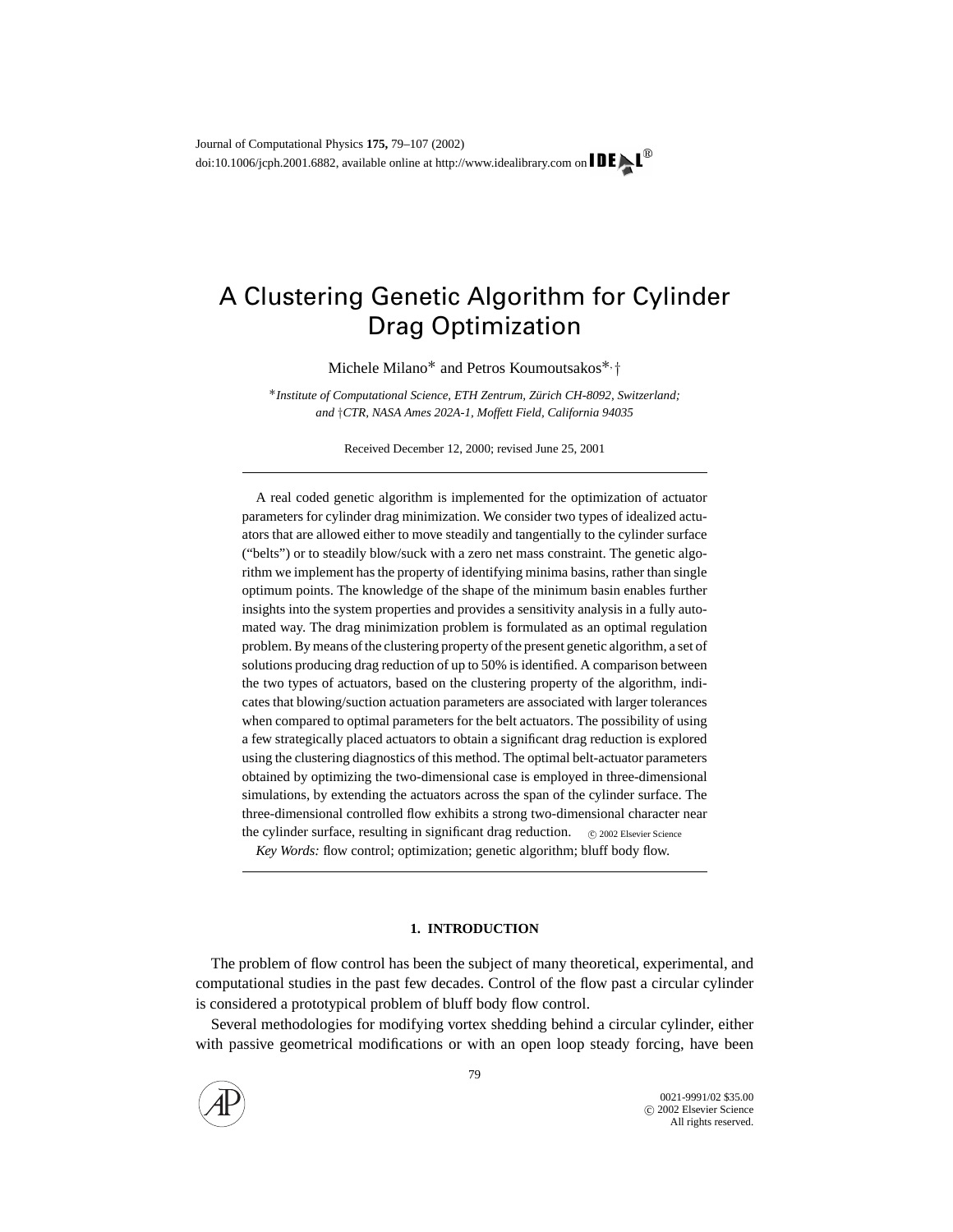# A Clustering Genetic Algorithm for Cylinder Drag Optimization

Michele Milano∗ and Petros Koumoutsakos∗, †

∗*Institute of Computational Science, ETH Zentrum, Zurich CH-8092, Switzerland; ¨ and* †*CTR, NASA Ames 202A-1, Moffett Field, California 94035*

Received December 12, 2000; revised June 25, 2001

A real coded genetic algorithm is implemented for the optimization of actuator parameters for cylinder drag minimization. We consider two types of idealized actuators that are allowed either to move steadily and tangentially to the cylinder surface ("belts") or to steadily blow/suck with a zero net mass constraint. The genetic algorithm we implement has the property of identifying minima basins, rather than single optimum points. The knowledge of the shape of the minimum basin enables further insights into the system properties and provides a sensitivity analysis in a fully automated way. The drag minimization problem is formulated as an optimal regulation problem. By means of the clustering property of the present genetic algorithm, a set of solutions producing drag reduction of up to 50% is identified. A comparison between the two types of actuators, based on the clustering property of the algorithm, indicates that blowing/suction actuation parameters are associated with larger tolerances when compared to optimal parameters for the belt actuators. The possibility of using a few strategically placed actuators to obtain a significant drag reduction is explored using the clustering diagnostics of this method. The optimal belt-actuator parameters obtained by optimizing the two-dimensional case is employed in three-dimensional simulations, by extending the actuators across the span of the cylinder surface. The three-dimensional controlled flow exhibits a strong two-dimensional character near the cylinder surface, resulting in significant drag reduction.  $\circ$  2002 Elsevier Science

*Key Words:* flow control; optimization; genetic algorithm; bluff body flow.

## **1. INTRODUCTION**

The problem of flow control has been the subject of many theoretical, experimental, and computational studies in the past few decades. Control of the flow past a circular cylinder is considered a prototypical problem of bluff body flow control.

Several methodologies for modifying vortex shedding behind a circular cylinder, either with passive geometrical modifications or with an open loop steady forcing, have been

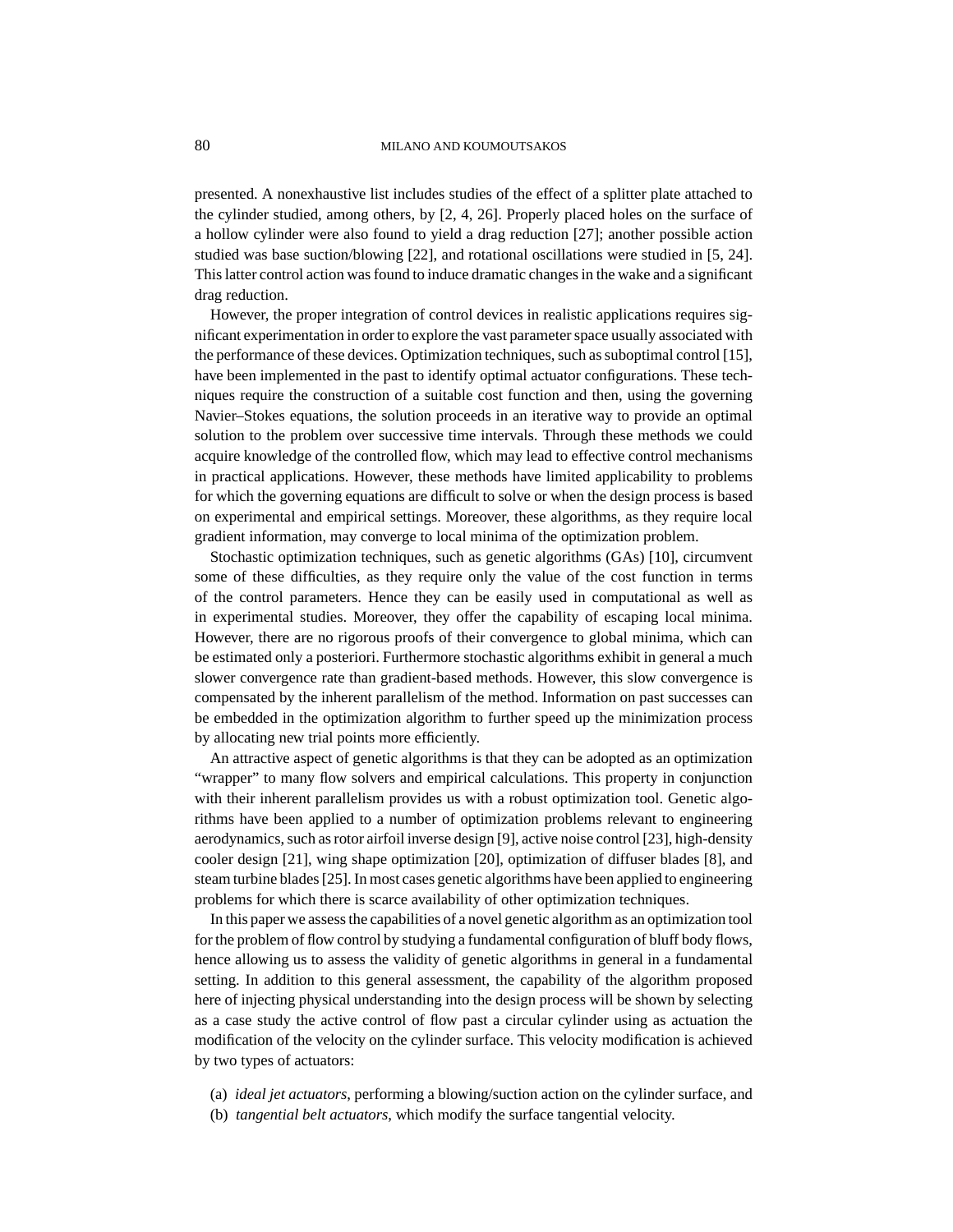presented. A nonexhaustive list includes studies of the effect of a splitter plate attached to the cylinder studied, among others, by [2, 4, 26]. Properly placed holes on the surface of a hollow cylinder were also found to yield a drag reduction [27]; another possible action studied was base suction/blowing [22], and rotational oscillations were studied in [5, 24]. This latter control action was found to induce dramatic changes in the wake and a significant drag reduction.

However, the proper integration of control devices in realistic applications requires significant experimentation in order to explore the vast parameter space usually associated with the performance of these devices. Optimization techniques, such as suboptimal control [15], have been implemented in the past to identify optimal actuator configurations. These techniques require the construction of a suitable cost function and then, using the governing Navier–Stokes equations, the solution proceeds in an iterative way to provide an optimal solution to the problem over successive time intervals. Through these methods we could acquire knowledge of the controlled flow, which may lead to effective control mechanisms in practical applications. However, these methods have limited applicability to problems for which the governing equations are difficult to solve or when the design process is based on experimental and empirical settings. Moreover, these algorithms, as they require local gradient information, may converge to local minima of the optimization problem.

Stochastic optimization techniques, such as genetic algorithms (GAs) [10], circumvent some of these difficulties, as they require only the value of the cost function in terms of the control parameters. Hence they can be easily used in computational as well as in experimental studies. Moreover, they offer the capability of escaping local minima. However, there are no rigorous proofs of their convergence to global minima, which can be estimated only a posteriori. Furthermore stochastic algorithms exhibit in general a much slower convergence rate than gradient-based methods. However, this slow convergence is compensated by the inherent parallelism of the method. Information on past successes can be embedded in the optimization algorithm to further speed up the minimization process by allocating new trial points more efficiently.

An attractive aspect of genetic algorithms is that they can be adopted as an optimization "wrapper" to many flow solvers and empirical calculations. This property in conjunction with their inherent parallelism provides us with a robust optimization tool. Genetic algorithms have been applied to a number of optimization problems relevant to engineering aerodynamics, such as rotor airfoil inverse design [9], active noise control [23], high-density cooler design [21], wing shape optimization [20], optimization of diffuser blades [8], and steam turbine blades [25]. In most cases genetic algorithms have been applied to engineering problems for which there is scarce availability of other optimization techniques.

In this paper we assess the capabilities of a novel genetic algorithm as an optimization tool for the problem of flow control by studying a fundamental configuration of bluff body flows, hence allowing us to assess the validity of genetic algorithms in general in a fundamental setting. In addition to this general assessment, the capability of the algorithm proposed here of injecting physical understanding into the design process will be shown by selecting as a case study the active control of flow past a circular cylinder using as actuation the modification of the velocity on the cylinder surface. This velocity modification is achieved by two types of actuators:

- (a) *ideal jet actuators*, performing a blowing/suction action on the cylinder surface, and
- (b) *tangential belt actuators*, which modify the surface tangential velocity.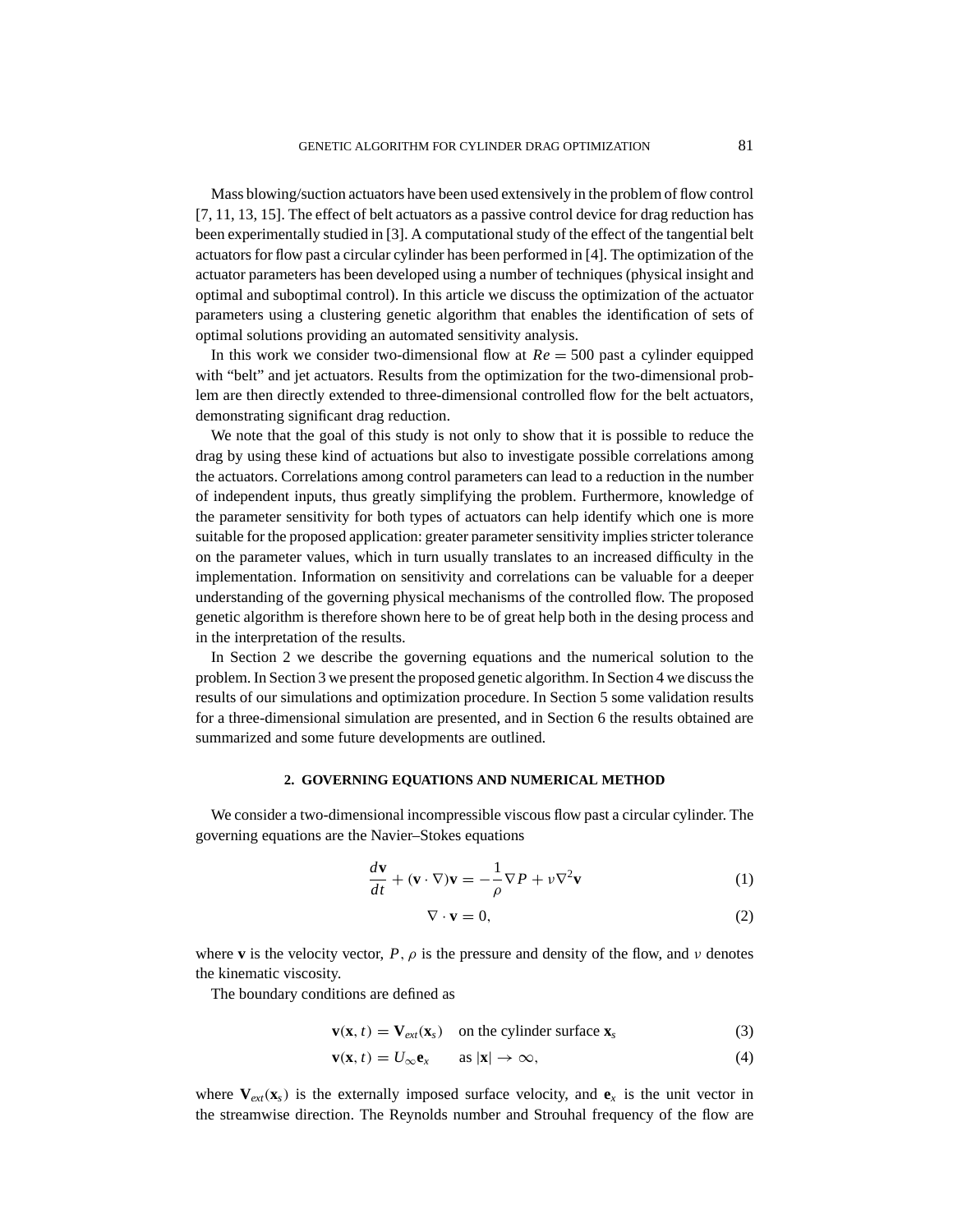Mass blowing/suction actuators have been used extensively in the problem of flow control [7, 11, 13, 15]. The effect of belt actuators as a passive control device for drag reduction has been experimentally studied in [3]. A computational study of the effect of the tangential belt actuators for flow past a circular cylinder has been performed in [4]. The optimization of the actuator parameters has been developed using a number of techniques (physical insight and optimal and suboptimal control). In this article we discuss the optimization of the actuator parameters using a clustering genetic algorithm that enables the identification of sets of optimal solutions providing an automated sensitivity analysis.

In this work we consider two-dimensional flow at  $Re = 500$  past a cylinder equipped with "belt" and jet actuators. Results from the optimization for the two-dimensional problem are then directly extended to three-dimensional controlled flow for the belt actuators, demonstrating significant drag reduction.

We note that the goal of this study is not only to show that it is possible to reduce the drag by using these kind of actuations but also to investigate possible correlations among the actuators. Correlations among control parameters can lead to a reduction in the number of independent inputs, thus greatly simplifying the problem. Furthermore, knowledge of the parameter sensitivity for both types of actuators can help identify which one is more suitable for the proposed application: greater parameter sensitivity implies stricter tolerance on the parameter values, which in turn usually translates to an increased difficulty in the implementation. Information on sensitivity and correlations can be valuable for a deeper understanding of the governing physical mechanisms of the controlled flow. The proposed genetic algorithm is therefore shown here to be of great help both in the desing process and in the interpretation of the results.

In Section 2 we describe the governing equations and the numerical solution to the problem. In Section 3 we present the proposed genetic algorithm. In Section 4 we discuss the results of our simulations and optimization procedure. In Section 5 some validation results for a three-dimensional simulation are presented, and in Section 6 the results obtained are summarized and some future developments are outlined.

#### **2. GOVERNING EQUATIONS AND NUMERICAL METHOD**

We consider a two-dimensional incompressible viscous flow past a circular cylinder. The governing equations are the Navier–Stokes equations

$$
\frac{d\mathbf{v}}{dt} + (\mathbf{v} \cdot \nabla)\mathbf{v} = -\frac{1}{\rho} \nabla P + \nu \nabla^2 \mathbf{v}
$$
 (1)

$$
\nabla \cdot \mathbf{v} = 0,\tag{2}
$$

where **v** is the velocity vector,  $P$ ,  $\rho$  is the pressure and density of the flow, and v denotes the kinematic viscosity.

The boundary conditions are defined as

$$
\mathbf{v}(\mathbf{x}, t) = \mathbf{V}_{ext}(\mathbf{x}_s) \quad \text{on the cylinder surface } \mathbf{x}_s \tag{3}
$$

$$
\mathbf{v}(\mathbf{x},t) = U_{\infty} \mathbf{e}_x \qquad \text{as } |\mathbf{x}| \to \infty,
$$
 (4)

where  $V_{ext}(x_s)$  is the externally imposed surface velocity, and  $e_x$  is the unit vector in the streamwise direction. The Reynolds number and Strouhal frequency of the flow are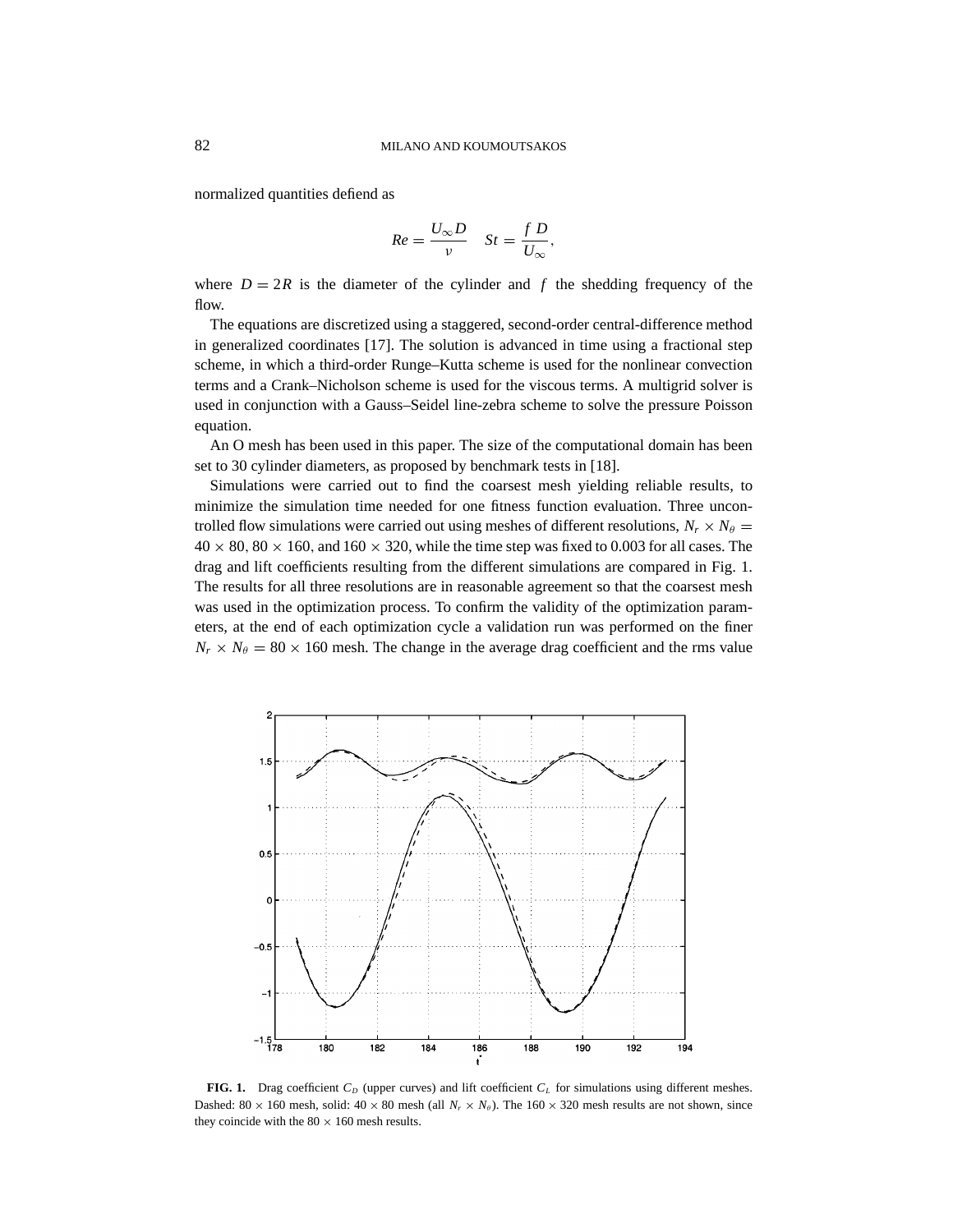normalized quantities defiend as

$$
Re = \frac{U_{\infty}D}{v} \quad St = \frac{f D}{U_{\infty}},
$$

where  $D = 2R$  is the diameter of the cylinder and f the shedding frequency of the flow.

The equations are discretized using a staggered, second-order central-difference method in generalized coordinates [17]. The solution is advanced in time using a fractional step scheme, in which a third-order Runge–Kutta scheme is used for the nonlinear convection terms and a Crank–Nicholson scheme is used for the viscous terms. A multigrid solver is used in conjunction with a Gauss–Seidel line-zebra scheme to solve the pressure Poisson equation.

An O mesh has been used in this paper. The size of the computational domain has been set to 30 cylinder diameters, as proposed by benchmark tests in [18].

Simulations were carried out to find the coarsest mesh yielding reliable results, to minimize the simulation time needed for one fitness function evaluation. Three uncontrolled flow simulations were carried out using meshes of different resolutions,  $N_r \times N_\theta$  =  $40 \times 80$ ,  $80 \times 160$ , and  $160 \times 320$ , while the time step was fixed to 0.003 for all cases. The drag and lift coefficients resulting from the different simulations are compared in Fig. 1. The results for all three resolutions are in reasonable agreement so that the coarsest mesh was used in the optimization process. To confirm the validity of the optimization parameters, at the end of each optimization cycle a validation run was performed on the finer  $N_r \times N_\theta = 80 \times 160$  mesh. The change in the average drag coefficient and the rms value



**FIG. 1.** Drag coefficient  $C_D$  (upper curves) and lift coefficient  $C_L$  for simulations using different meshes. Dashed:  $80 \times 160$  mesh, solid:  $40 \times 80$  mesh (all  $N_r \times N_{\theta}$ ). The  $160 \times 320$  mesh results are not shown, since they coincide with the  $80 \times 160$  mesh results.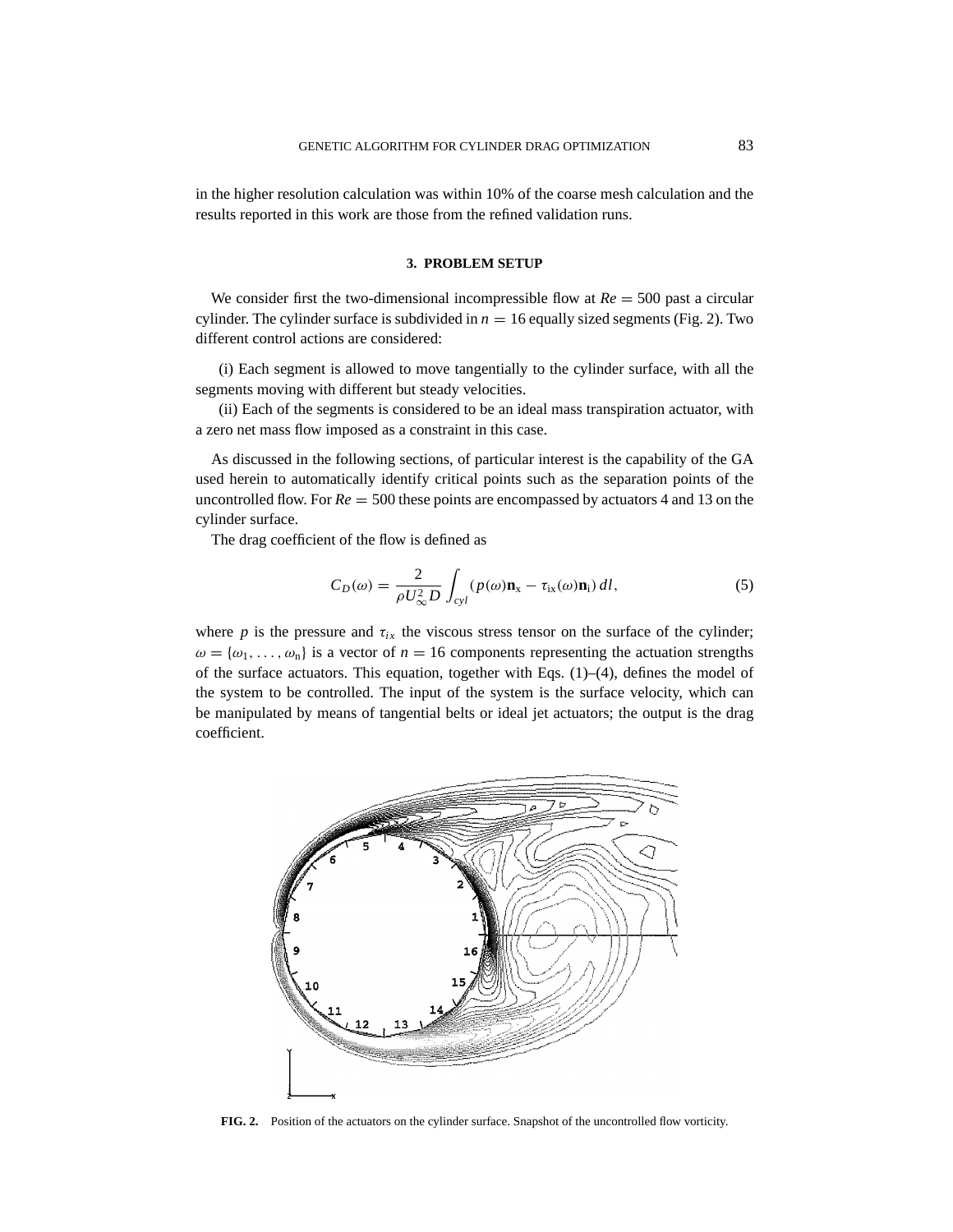in the higher resolution calculation was within 10% of the coarse mesh calculation and the results reported in this work are those from the refined validation runs.

# **3. PROBLEM SETUP**

We consider first the two-dimensional incompressible flow at  $Re = 500$  past a circular cylinder. The cylinder surface is subdivided in  $n = 16$  equally sized segments (Fig. 2). Two different control actions are considered:

(i) Each segment is allowed to move tangentially to the cylinder surface, with all the segments moving with different but steady velocities.

(ii) Each of the segments is considered to be an ideal mass transpiration actuator, with a zero net mass flow imposed as a constraint in this case.

As discussed in the following sections, of particular interest is the capability of the GA used herein to automatically identify critical points such as the separation points of the uncontrolled flow. For *Re* = 500 these points are encompassed by actuators 4 and 13 on the cylinder surface.

The drag coefficient of the flow is defined as

$$
C_D(\omega) = \frac{2}{\rho U_{\infty}^2 D} \int_{cyl} (p(\omega) \mathbf{n}_x - \tau_{ix}(\omega) \mathbf{n}_i) dl,
$$
 (5)

where *p* is the pressure and  $\tau_{ix}$  the viscous stress tensor on the surface of the cylinder;  $\omega = {\omega_1, \ldots, \omega_n}$  is a vector of  $n = 16$  components representing the actuation strengths of the surface actuators. This equation, together with Eqs.  $(1)$ – $(4)$ , defines the model of the system to be controlled. The input of the system is the surface velocity, which can be manipulated by means of tangential belts or ideal jet actuators; the output is the drag coefficient.

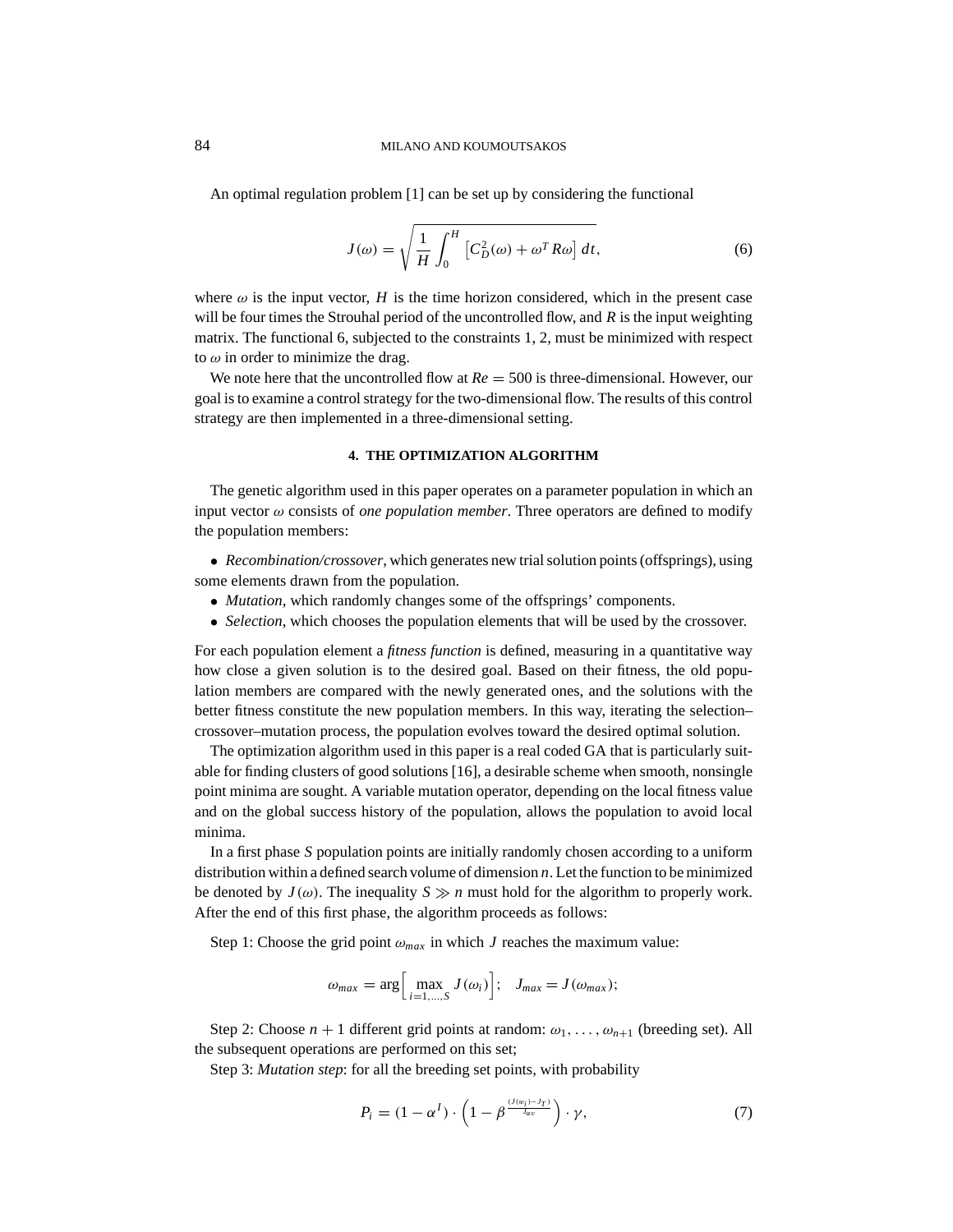An optimal regulation problem [1] can be set up by considering the functional

$$
J(\omega) = \sqrt{\frac{1}{H} \int_0^H \left[ C_D^2(\omega) + \omega^T R \omega \right] dt},\tag{6}
$$

where  $\omega$  is the input vector, *H* is the time horizon considered, which in the present case will be four times the Strouhal period of the uncontrolled flow, and *R* is the input weighting matrix. The functional 6, subjected to the constraints 1, 2, must be minimized with respect to  $\omega$  in order to minimize the drag.

We note here that the uncontrolled flow at  $Re = 500$  is three-dimensional. However, our goal is to examine a control strategy for the two-dimensional flow. The results of this control strategy are then implemented in a three-dimensional setting.

## **4. THE OPTIMIZATION ALGORITHM**

The genetic algorithm used in this paper operates on a parameter population in which an input vector  $\omega$  consists of *one population member*. Three operators are defined to modify the population members:

- *Recombination/crossover*, which generates new trial solution points (offsprings), using some elements drawn from the population.
	- *Mutation*, which randomly changes some of the offsprings' components.
	- *Selection*, which chooses the population elements that will be used by the crossover.

For each population element a *fitness function* is defined, measuring in a quantitative way how close a given solution is to the desired goal. Based on their fitness, the old population members are compared with the newly generated ones, and the solutions with the better fitness constitute the new population members. In this way, iterating the selection– crossover–mutation process, the population evolves toward the desired optimal solution.

The optimization algorithm used in this paper is a real coded GA that is particularly suitable for finding clusters of good solutions [16], a desirable scheme when smooth, nonsingle point minima are sought. A variable mutation operator, depending on the local fitness value and on the global success history of the population, allows the population to avoid local minima.

In a first phase *S* population points are initially randomly chosen according to a uniform distribution within a defined search volume of dimension *n*. Let the function to be minimized be denoted by  $J(\omega)$ . The inequality  $S \gg n$  must hold for the algorithm to properly work. After the end of this first phase, the algorithm proceeds as follows:

Step 1: Choose the grid point  $\omega_{max}$  in which *J* reaches the maximum value:

$$
\omega_{max} = \arg \Big[ \max_{i=1,\dots,S} J(\omega_i) \Big]; \quad J_{max} = J(\omega_{max});
$$

Step 2: Choose  $n + 1$  different grid points at random:  $\omega_1, \ldots, \omega_{n+1}$  (breeding set). All the subsequent operations are performed on this set;

Step 3: *Mutation step*: for all the breeding set points, with probability

$$
P_i = (1 - \alpha^I) \cdot \left(1 - \beta^{\frac{(I(w_i) - I_T)}{J_{av}}}\right) \cdot \gamma, \tag{7}
$$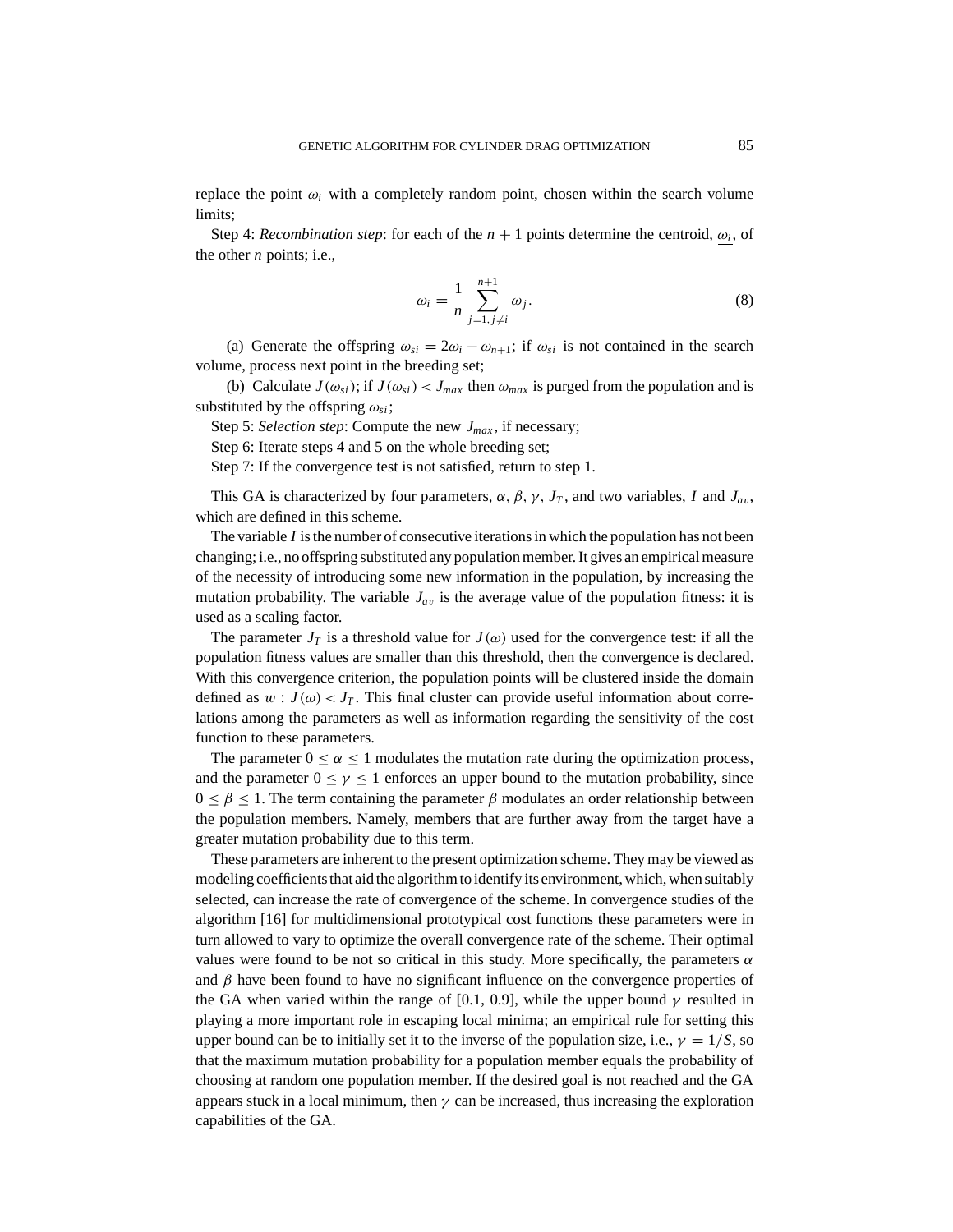replace the point  $\omega_i$  with a completely random point, chosen within the search volume limits;

Step 4: *Recombination step*: for each of the  $n + 1$  points determine the centroid,  $\omega_i$ , of the other *n* points; i.e.,

$$
\underline{\omega_i} = \frac{1}{n} \sum_{j=1, j \neq i}^{n+1} \omega_j.
$$
 (8)

(a) Generate the offspring  $\omega_{si} = 2\omega_i - \omega_{n+1}$ ; if  $\omega_{si}$  is not contained in the search volume, process next point in the breeding set;

(b) Calculate  $J(\omega_{si})$ ; if  $J(\omega_{si}) < J_{max}$  then  $\omega_{max}$  is purged from the population and is substituted by the offspring  $\omega_{si}$ ;

Step 5: *Selection step*: Compute the new *Jmax* , if necessary;

Step 6: Iterate steps 4 and 5 on the whole breeding set;

Step 7: If the convergence test is not satisfied, return to step 1.

This GA is characterized by four parameters,  $\alpha$ ,  $\beta$ ,  $\gamma$ ,  $J_T$ , and two variables, *I* and  $J_{av}$ , which are defined in this scheme.

The variable *I* is the number of consecutive iterations in which the population has not been changing; i.e., no offspring substituted any population member. It gives an empirical measure of the necessity of introducing some new information in the population, by increasing the mutation probability. The variable  $J_{av}$  is the average value of the population fitness: it is used as a scaling factor.

The parameter  $J_T$  is a threshold value for  $J(\omega)$  used for the convergence test: if all the population fitness values are smaller than this threshold, then the convergence is declared. With this convergence criterion, the population points will be clustered inside the domain defined as  $w : J(\omega) < J_T$ . This final cluster can provide useful information about correlations among the parameters as well as information regarding the sensitivity of the cost function to these parameters.

The parameter  $0 \le \alpha \le 1$  modulates the mutation rate during the optimization process, and the parameter  $0 \le \gamma \le 1$  enforces an upper bound to the mutation probability, since  $0 \leq \beta \leq 1$ . The term containing the parameter  $\beta$  modulates an order relationship between the population members. Namely, members that are further away from the target have a greater mutation probability due to this term.

These parameters are inherent to the present optimization scheme. They may be viewed as modeling coefficients that aid the algorithm to identify its environment, which, when suitably selected, can increase the rate of convergence of the scheme. In convergence studies of the algorithm [16] for multidimensional prototypical cost functions these parameters were in turn allowed to vary to optimize the overall convergence rate of the scheme. Their optimal values were found to be not so critical in this study. More specifically, the parameters  $\alpha$ and  $\beta$  have been found to have no significant influence on the convergence properties of the GA when varied within the range of [0.1, 0.9], while the upper bound  $\gamma$  resulted in playing a more important role in escaping local minima; an empirical rule for setting this upper bound can be to initially set it to the inverse of the population size, i.e.,  $\gamma = 1/S$ , so that the maximum mutation probability for a population member equals the probability of choosing at random one population member. If the desired goal is not reached and the GA appears stuck in a local minimum, then  $\gamma$  can be increased, thus increasing the exploration capabilities of the GA.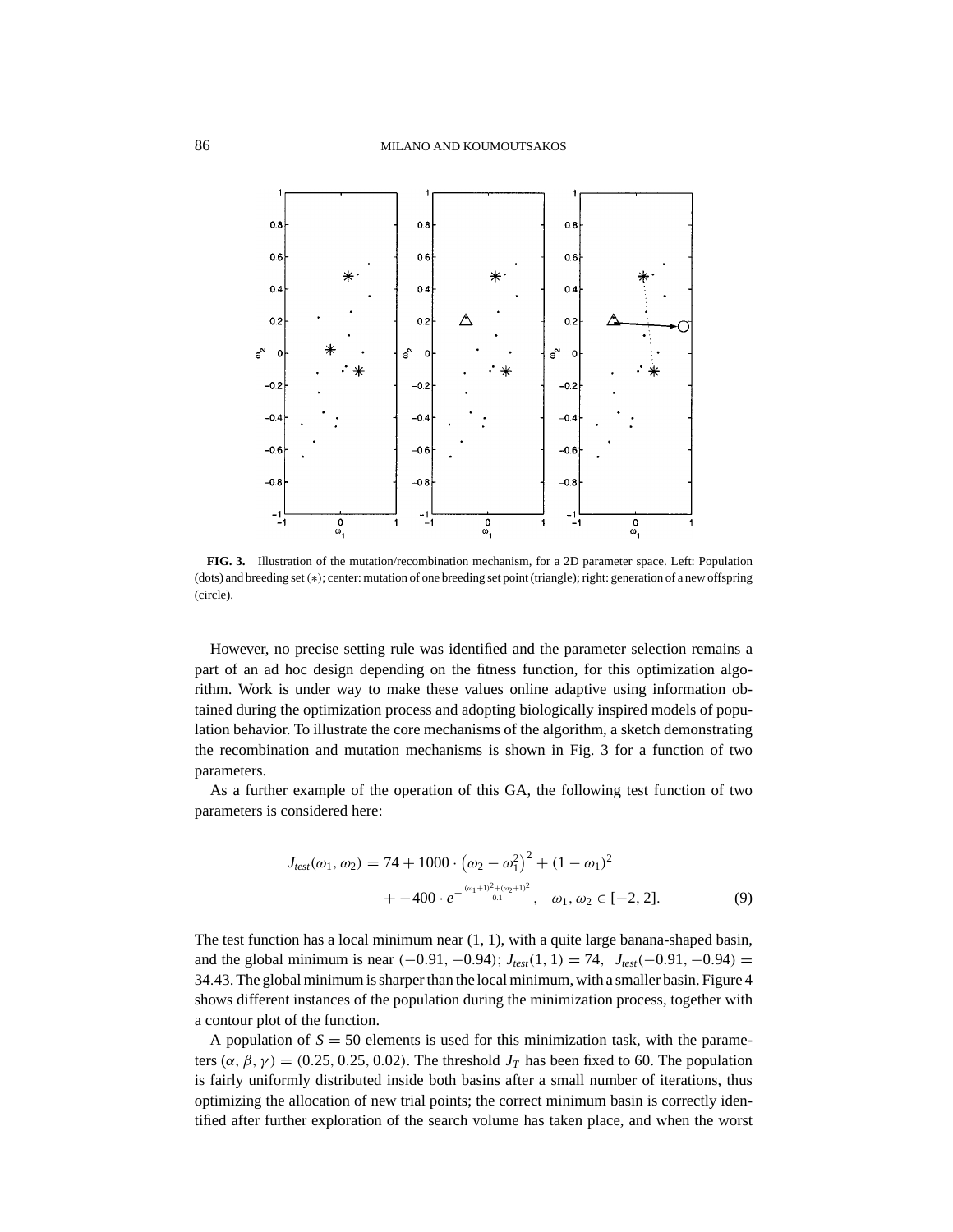

**FIG. 3.** Illustration of the mutation/recombination mechanism, for a 2D parameter space. Left: Population (dots) and breeding set(∗); center: mutation of one breeding set point (triangle); right: generation of a new offspring (circle).

However, no precise setting rule was identified and the parameter selection remains a part of an ad hoc design depending on the fitness function, for this optimization algorithm. Work is under way to make these values online adaptive using information obtained during the optimization process and adopting biologically inspired models of population behavior. To illustrate the core mechanisms of the algorithm, a sketch demonstrating the recombination and mutation mechanisms is shown in Fig. 3 for a function of two parameters.

As a further example of the operation of this GA, the following test function of two parameters is considered here:

$$
J_{test}(\omega_1, \omega_2) = 74 + 1000 \cdot (\omega_2 - \omega_1^2)^2 + (1 - \omega_1)^2
$$
  
+ 
$$
-400 \cdot e^{-\frac{(\omega_1 + 1)^2 + (\omega_2 + 1)^2}{0.1}}, \quad \omega_1, \omega_2 \in [-2, 2].
$$
 (9)

The test function has a local minimum near  $(1, 1)$ , with a quite large banana-shaped basin, and the global minimum is near  $(-0.91, -0.94)$ ;  $J_{test}(1, 1) = 74$ ,  $J_{test}(-0.91, -0.94) =$ 34.43. The global minimum is sharper than the local minimum, with a smaller basin. Figure 4 shows different instances of the population during the minimization process, together with a contour plot of the function.

A population of  $S = 50$  elements is used for this minimization task, with the parameters  $(\alpha, \beta, \gamma) = (0.25, 0.25, 0.02)$ . The threshold  $J_T$  has been fixed to 60. The population is fairly uniformly distributed inside both basins after a small number of iterations, thus optimizing the allocation of new trial points; the correct minimum basin is correctly identified after further exploration of the search volume has taken place, and when the worst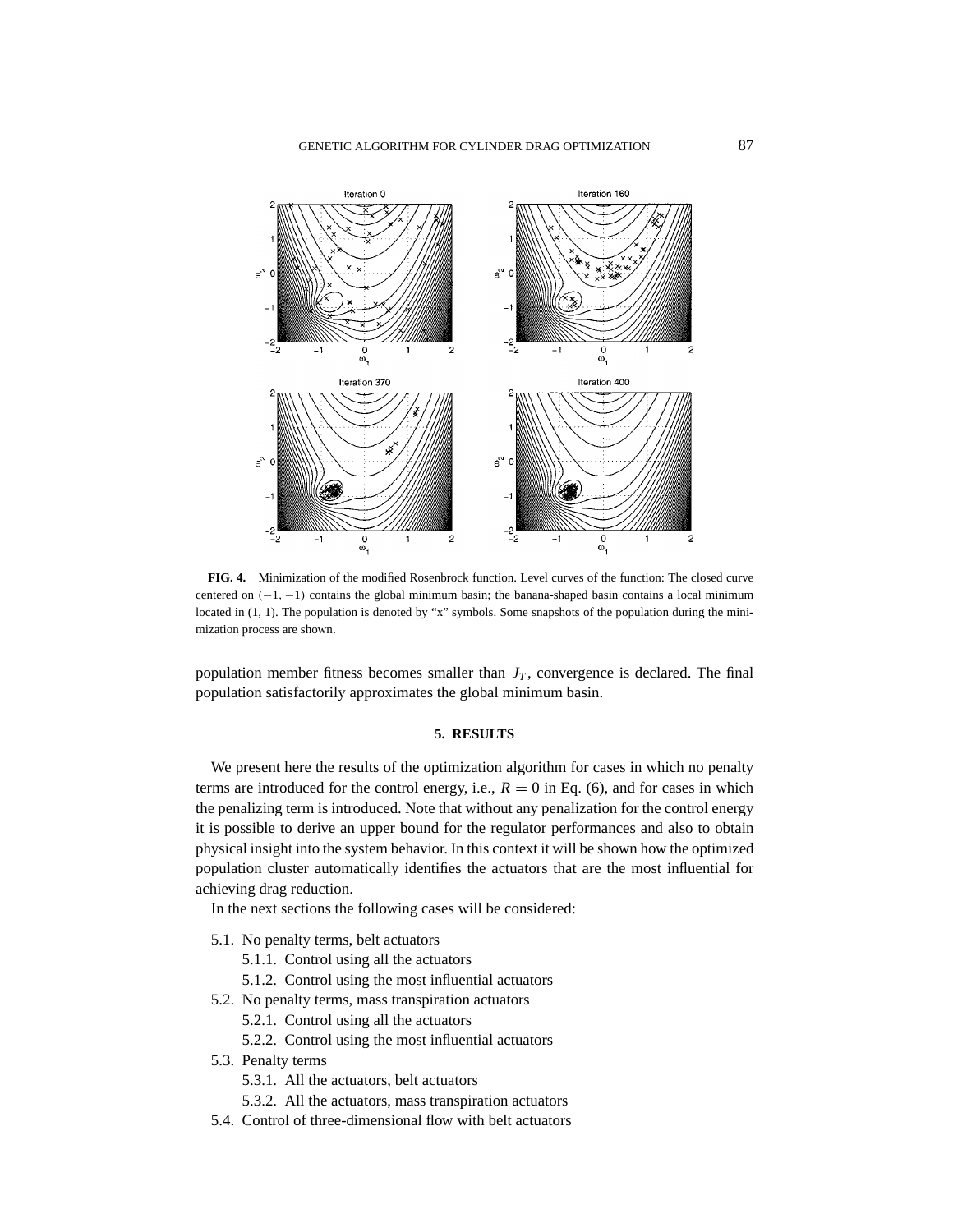

**FIG. 4.** Minimization of the modified Rosenbrock function. Level curves of the function: The closed curve centered on (−1, −1) contains the global minimum basin; the banana-shaped basin contains a local minimum located in (1, 1). The population is denoted by "x" symbols. Some snapshots of the population during the minimization process are shown.

population member fitness becomes smaller than  $J_T$ , convergence is declared. The final population satisfactorily approximates the global minimum basin.

#### **5. RESULTS**

We present here the results of the optimization algorithm for cases in which no penalty terms are introduced for the control energy, i.e.,  $R = 0$  in Eq. (6), and for cases in which the penalizing term is introduced. Note that without any penalization for the control energy it is possible to derive an upper bound for the regulator performances and also to obtain physical insight into the system behavior. In this context it will be shown how the optimized population cluster automatically identifies the actuators that are the most influential for achieving drag reduction.

In the next sections the following cases will be considered:

- 5.1. No penalty terms, belt actuators
	- 5.1.1. Control using all the actuators
	- 5.1.2. Control using the most influential actuators
- 5.2. No penalty terms, mass transpiration actuators
	- 5.2.1. Control using all the actuators
	- 5.2.2. Control using the most influential actuators

#### 5.3. Penalty terms

- 5.3.1. All the actuators, belt actuators
- 5.3.2. All the actuators, mass transpiration actuators
- 5.4. Control of three-dimensional flow with belt actuators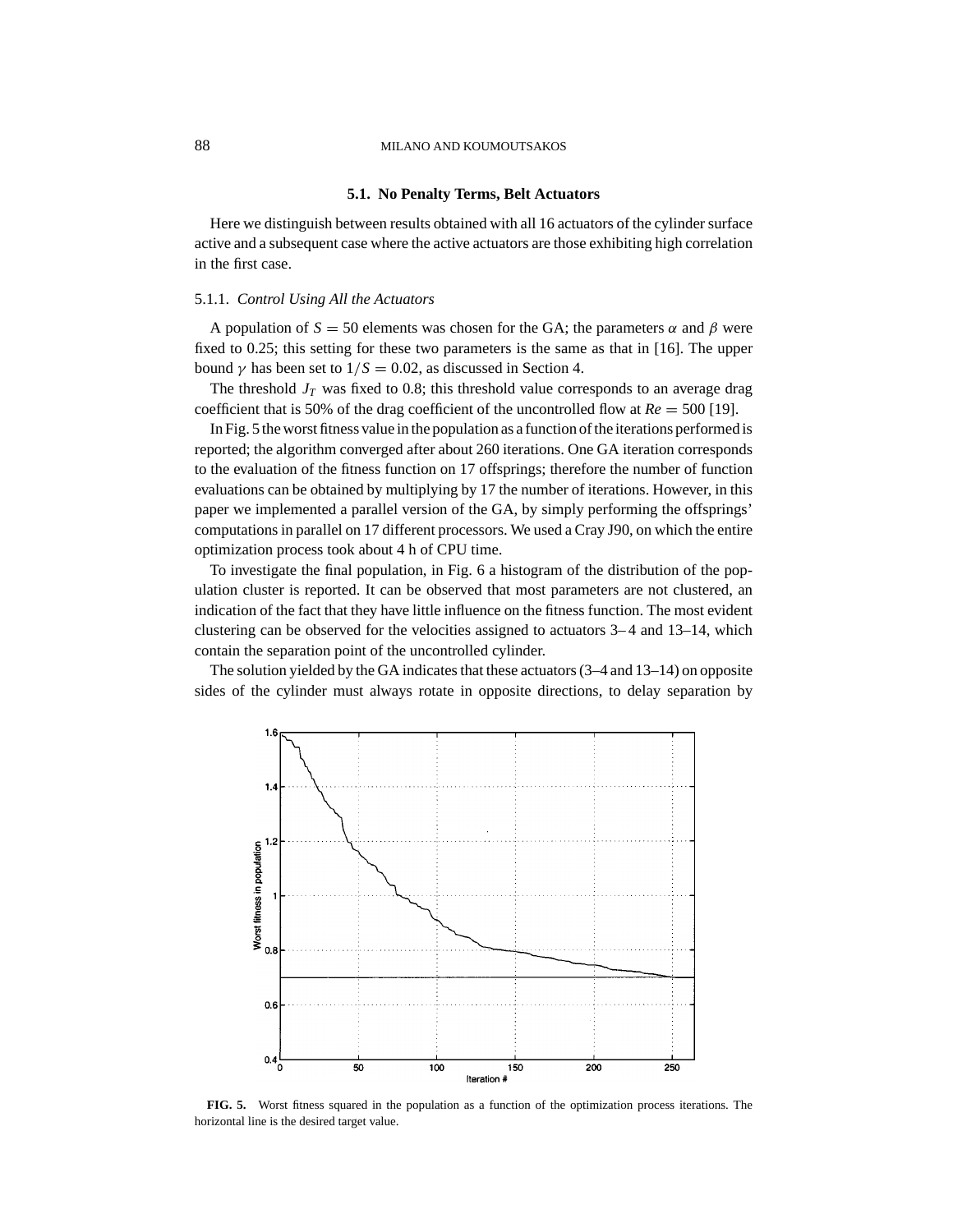## **5.1. No Penalty Terms, Belt Actuators**

Here we distinguish between results obtained with all 16 actuators of the cylinder surface active and a subsequent case where the active actuators are those exhibiting high correlation in the first case.

#### 5.1.1. *Control Using All the Actuators*

A population of  $S = 50$  elements was chosen for the GA; the parameters  $\alpha$  and  $\beta$  were fixed to 0.25; this setting for these two parameters is the same as that in [16]. The upper bound  $\gamma$  has been set to  $1/S = 0.02$ , as discussed in Section 4.

The threshold  $J_T$  was fixed to 0.8; this threshold value corresponds to an average drag coefficient that is 50% of the drag coefficient of the uncontrolled flow at  $Re = 500$  [19].

In Fig. 5 the worst fitness value in the population as a function of the iterations performed is reported; the algorithm converged after about 260 iterations. One GA iteration corresponds to the evaluation of the fitness function on 17 offsprings; therefore the number of function evaluations can be obtained by multiplying by 17 the number of iterations. However, in this paper we implemented a parallel version of the GA, by simply performing the offsprings' computations in parallel on 17 different processors. We used a Cray J90, on which the entire optimization process took about 4 h of CPU time.

To investigate the final population, in Fig. 6 a histogram of the distribution of the population cluster is reported. It can be observed that most parameters are not clustered, an indication of the fact that they have little influence on the fitness function. The most evident clustering can be observed for the velocities assigned to actuators 3– 4 and 13–14, which contain the separation point of the uncontrolled cylinder.

The solution yielded by the GA indicates that these actuators (3–4 and 13–14) on opposite sides of the cylinder must always rotate in opposite directions, to delay separation by



**FIG. 5.** Worst fitness squared in the population as a function of the optimization process iterations. The horizontal line is the desired target value.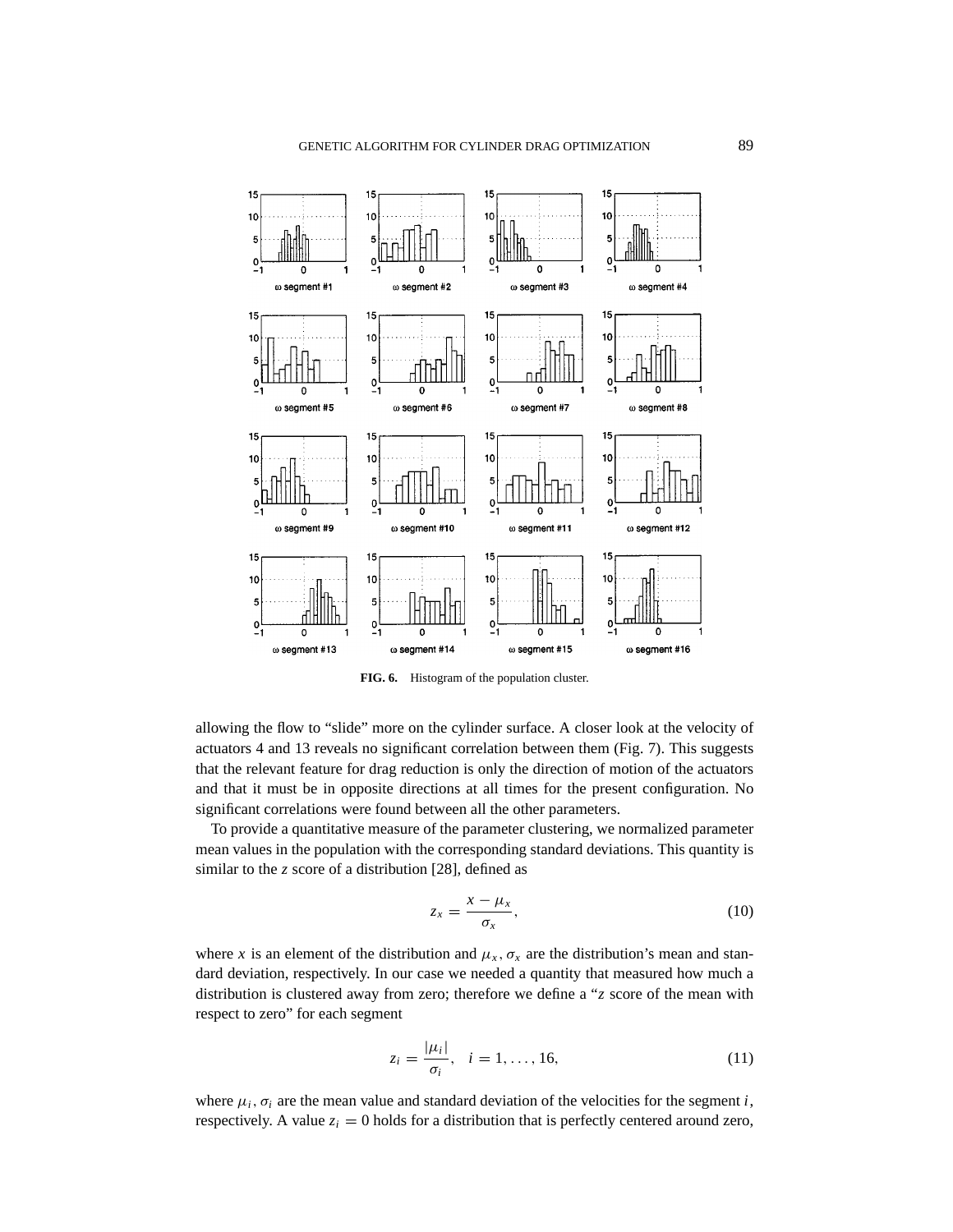

**FIG. 6.** Histogram of the population cluster.

allowing the flow to "slide" more on the cylinder surface. A closer look at the velocity of actuators 4 and 13 reveals no significant correlation between them (Fig. 7). This suggests that the relevant feature for drag reduction is only the direction of motion of the actuators and that it must be in opposite directions at all times for the present configuration. No significant correlations were found between all the other parameters.

To provide a quantitative measure of the parameter clustering, we normalized parameter mean values in the population with the corresponding standard deviations. This quantity is similar to the *z* score of a distribution [28], defined as

$$
z_x = \frac{x - \mu_x}{\sigma_x},\tag{10}
$$

where *x* is an element of the distribution and  $\mu_x$ ,  $\sigma_x$  are the distribution's mean and standard deviation, respectively. In our case we needed a quantity that measured how much a distribution is clustered away from zero; therefore we define a "*z* score of the mean with respect to zero" for each segment

$$
z_i = \frac{|\mu_i|}{\sigma_i}, \quad i = 1, \dots, 16,
$$
\n<sup>(11)</sup>

where  $\mu_i$ ,  $\sigma_i$  are the mean value and standard deviation of the velocities for the segment *i*, respectively. A value  $z_i = 0$  holds for a distribution that is perfectly centered around zero,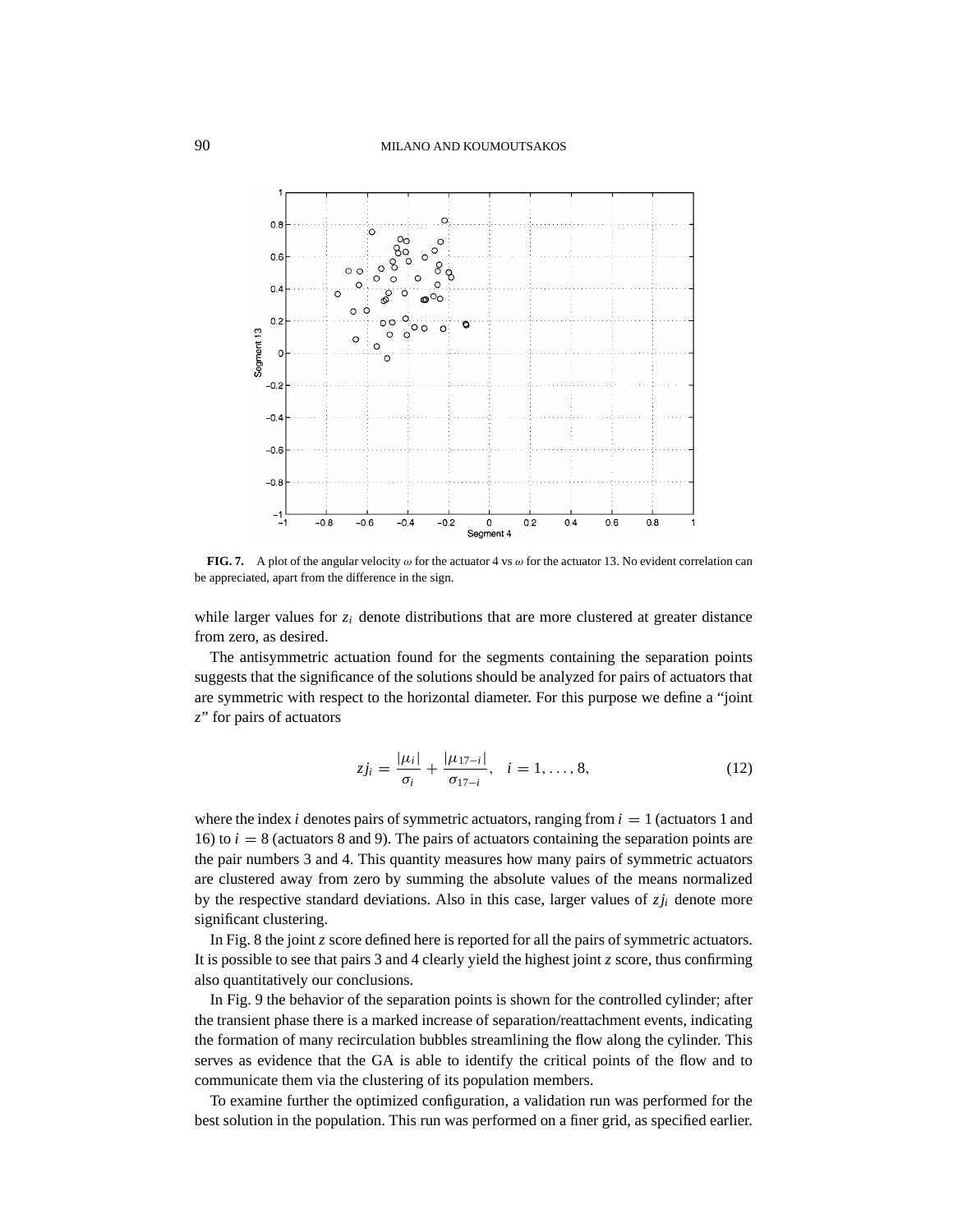

**FIG. 7.** A plot of the angular velocity  $\omega$  for the actuator 4 vs  $\omega$  for the actuator 13. No evident correlation can be appreciated, apart from the difference in the sign.

while larger values for  $z_i$  denote distributions that are more clustered at greater distance from zero, as desired.

The antisymmetric actuation found for the segments containing the separation points suggests that the significance of the solutions should be analyzed for pairs of actuators that are symmetric with respect to the horizontal diameter. For this purpose we define a "joint *z*" for pairs of actuators

$$
z j_i = \frac{|\mu_i|}{\sigma_i} + \frac{|\mu_{17-i}|}{\sigma_{17-i}}, \quad i = 1, ..., 8,
$$
 (12)

where the index  $i$  denotes pairs of symmetric actuators, ranging from  $i = 1$  (actuators 1 and 16) to  $i = 8$  (actuators 8 and 9). The pairs of actuators containing the separation points are the pair numbers 3 and 4. This quantity measures how many pairs of symmetric actuators are clustered away from zero by summing the absolute values of the means normalized by the respective standard deviations. Also in this case, larger values of  $z_j$  denote more significant clustering.

In Fig. 8 the joint *z* score defined here is reported for all the pairs of symmetric actuators. It is possible to see that pairs 3 and 4 clearly yield the highest joint *z* score, thus confirming also quantitatively our conclusions.

In Fig. 9 the behavior of the separation points is shown for the controlled cylinder; after the transient phase there is a marked increase of separation/reattachment events, indicating the formation of many recirculation bubbles streamlining the flow along the cylinder. This serves as evidence that the GA is able to identify the critical points of the flow and to communicate them via the clustering of its population members.

To examine further the optimized configuration, a validation run was performed for the best solution in the population. This run was performed on a finer grid, as specified earlier.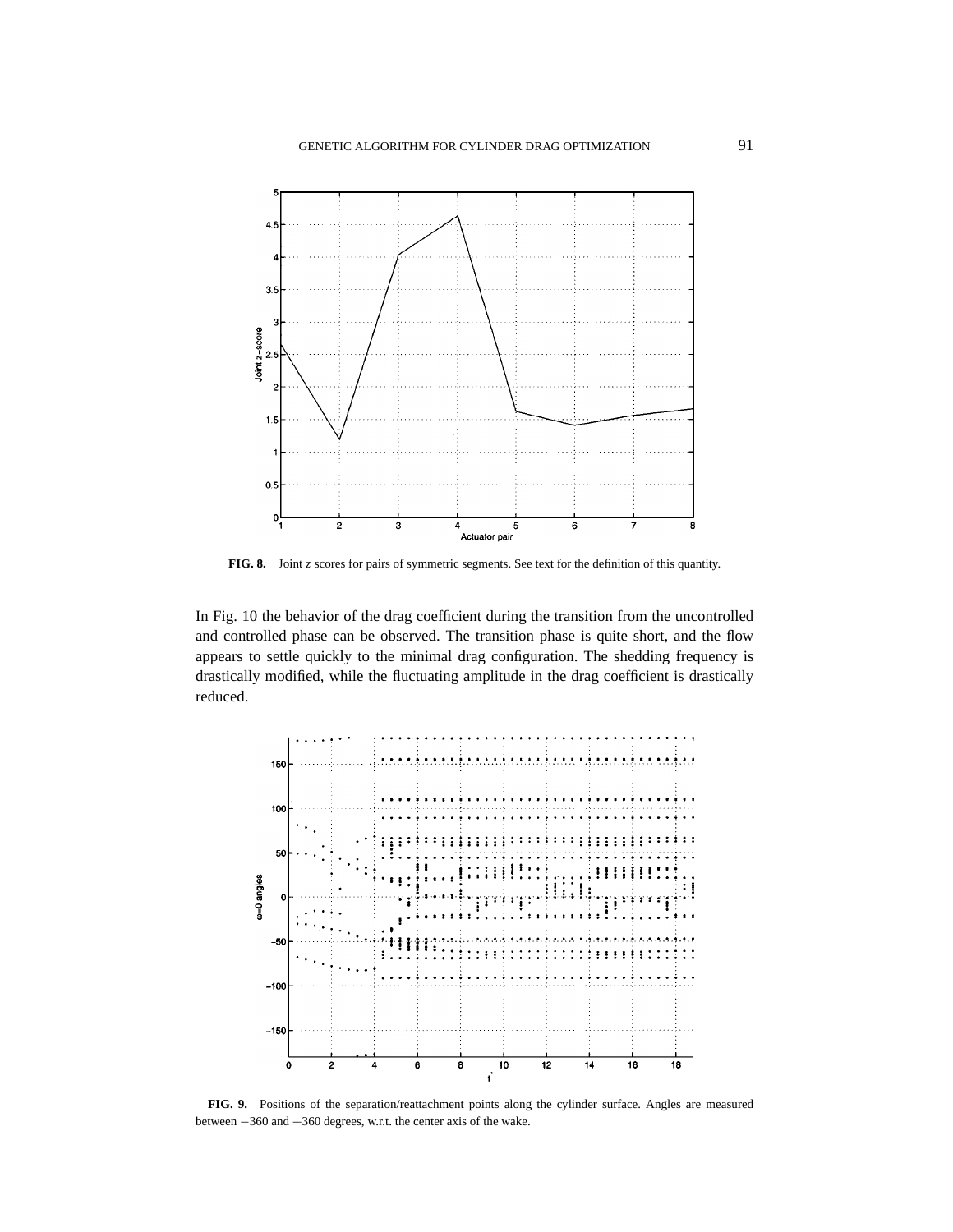

**FIG. 8.** Joint *z* scores for pairs of symmetric segments. See text for the definition of this quantity.

In Fig. 10 the behavior of the drag coefficient during the transition from the uncontrolled and controlled phase can be observed. The transition phase is quite short, and the flow appears to settle quickly to the minimal drag configuration. The shedding frequency is drastically modified, while the fluctuating amplitude in the drag coefficient is drastically reduced.



**FIG. 9.** Positions of the separation/reattachment points along the cylinder surface. Angles are measured between −360 and +360 degrees, w.r.t. the center axis of the wake.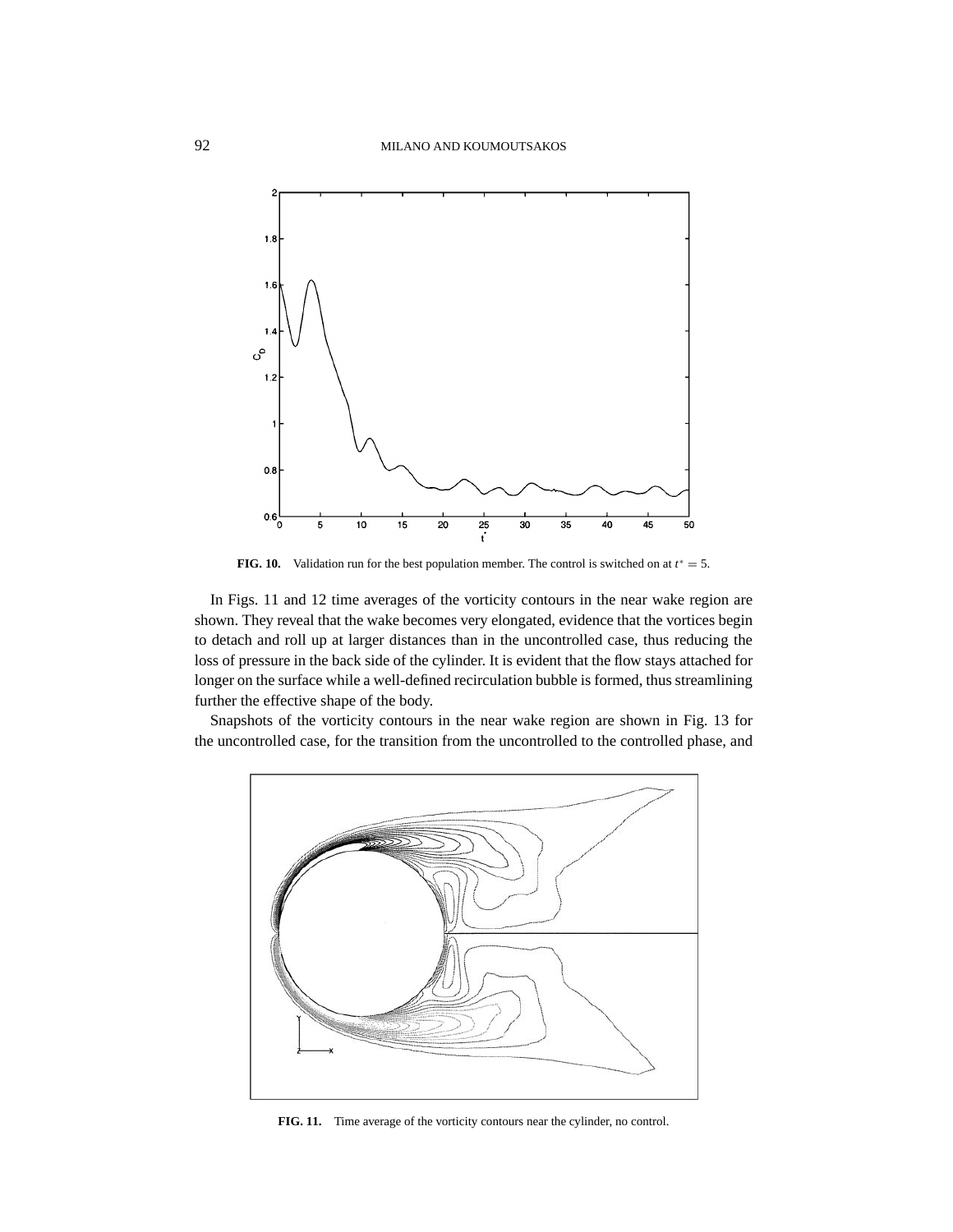

**FIG. 10.** Validation run for the best population member. The control is switched on at  $t^* = 5$ .

In Figs. 11 and 12 time averages of the vorticity contours in the near wake region are shown. They reveal that the wake becomes very elongated, evidence that the vortices begin to detach and roll up at larger distances than in the uncontrolled case, thus reducing the loss of pressure in the back side of the cylinder. It is evident that the flow stays attached for longer on the surface while a well-defined recirculation bubble is formed, thus streamlining further the effective shape of the body.

Snapshots of the vorticity contours in the near wake region are shown in Fig. 13 for the uncontrolled case, for the transition from the uncontrolled to the controlled phase, and



**FIG. 11.** Time average of the vorticity contours near the cylinder, no control.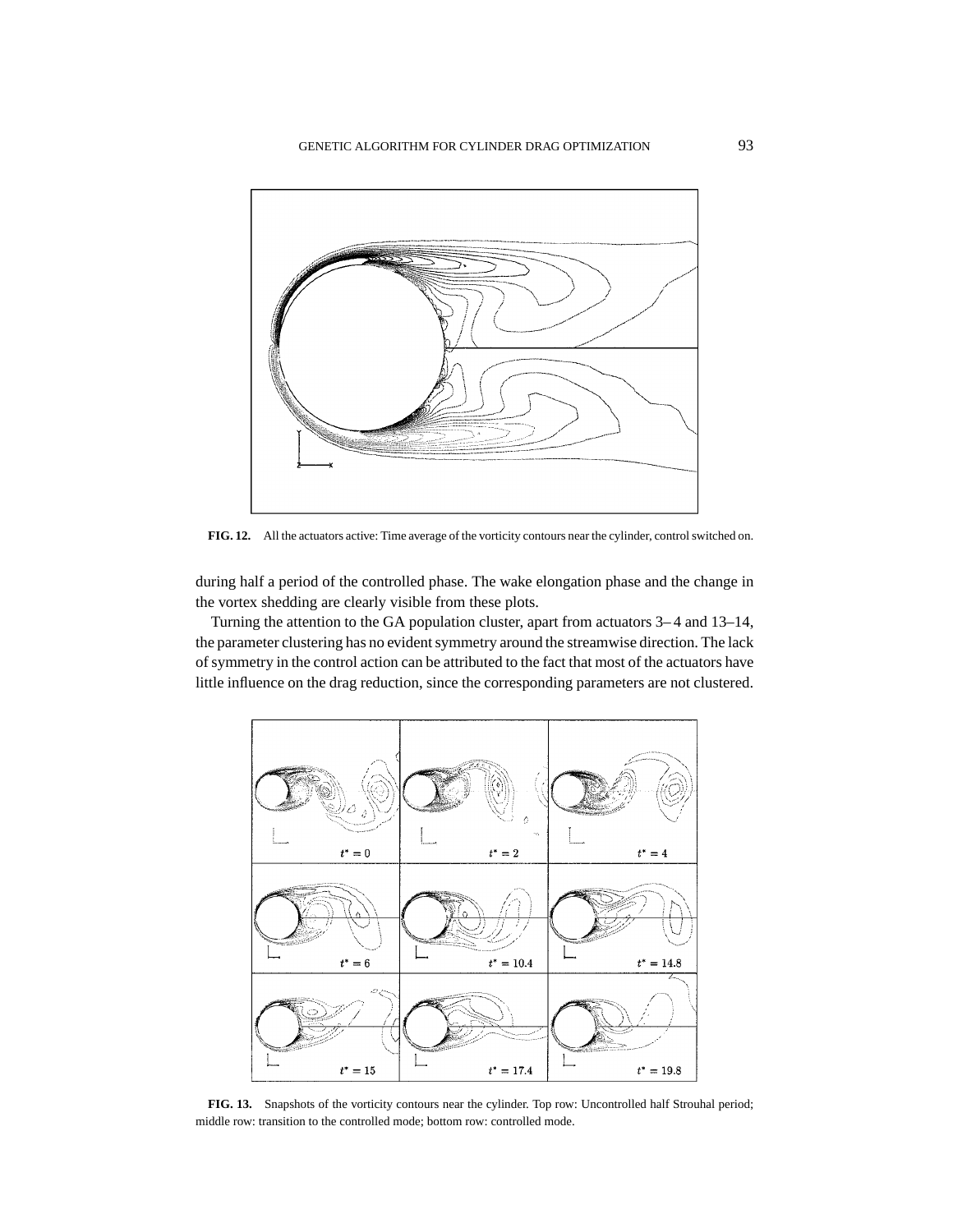

**FIG. 12.** All the actuators active: Time average of the vorticity contours near the cylinder, control switched on.

during half a period of the controlled phase. The wake elongation phase and the change in the vortex shedding are clearly visible from these plots.

Turning the attention to the GA population cluster, apart from actuators 3– 4 and 13–14, the parameter clustering has no evident symmetry around the streamwise direction. The lack of symmetry in the control action can be attributed to the fact that most of the actuators have little influence on the drag reduction, since the corresponding parameters are not clustered.



**FIG. 13.** Snapshots of the vorticity contours near the cylinder. Top row: Uncontrolled half Strouhal period; middle row: transition to the controlled mode; bottom row: controlled mode.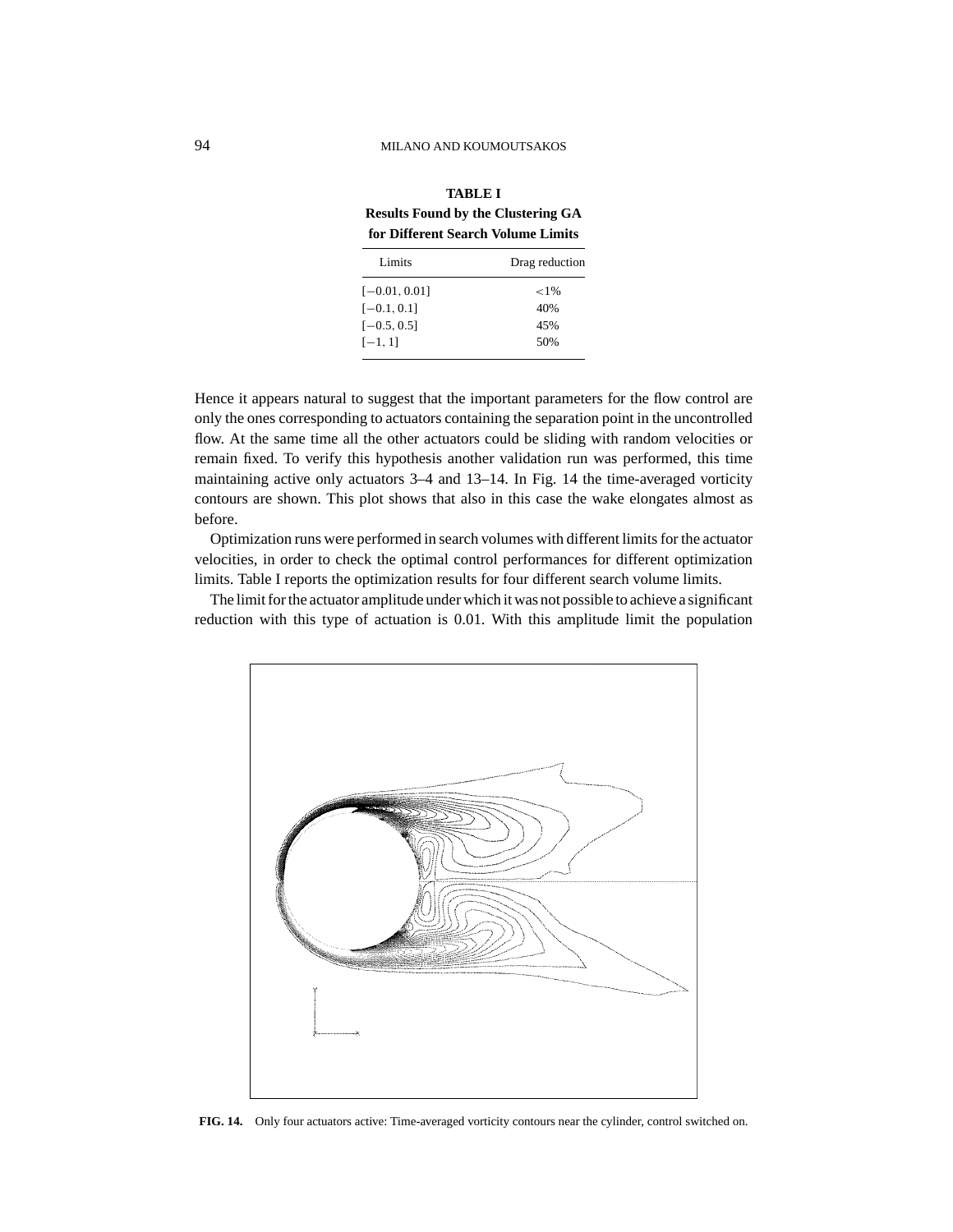| for Different Search Volume Limits |                |
|------------------------------------|----------------|
| Limits                             | Drag reduction |
| $[-0.01, 0.01]$                    | ${<}1\%$       |
| $[-0.1, 0.1]$                      | 40%            |
| $[-0.5, 0.5]$                      | 45%            |
| $[-1, 1]$                          | 50%            |
|                                    |                |

**TABLE I Results Found by the Clustering GA for Different Search Volume Limits**

Hence it appears natural to suggest that the important parameters for the flow control are only the ones corresponding to actuators containing the separation point in the uncontrolled flow. At the same time all the other actuators could be sliding with random velocities or remain fixed. To verify this hypothesis another validation run was performed, this time maintaining active only actuators 3–4 and 13–14. In Fig. 14 the time-averaged vorticity contours are shown. This plot shows that also in this case the wake elongates almost as before.

Optimization runs were performed in search volumes with different limits for the actuator velocities, in order to check the optimal control performances for different optimization limits. Table I reports the optimization results for four different search volume limits.

The limit for the actuator amplitude under which it was not possible to achieve a significant reduction with this type of actuation is 0.01. With this amplitude limit the population



**FIG. 14.** Only four actuators active: Time-averaged vorticity contours near the cylinder, control switched on.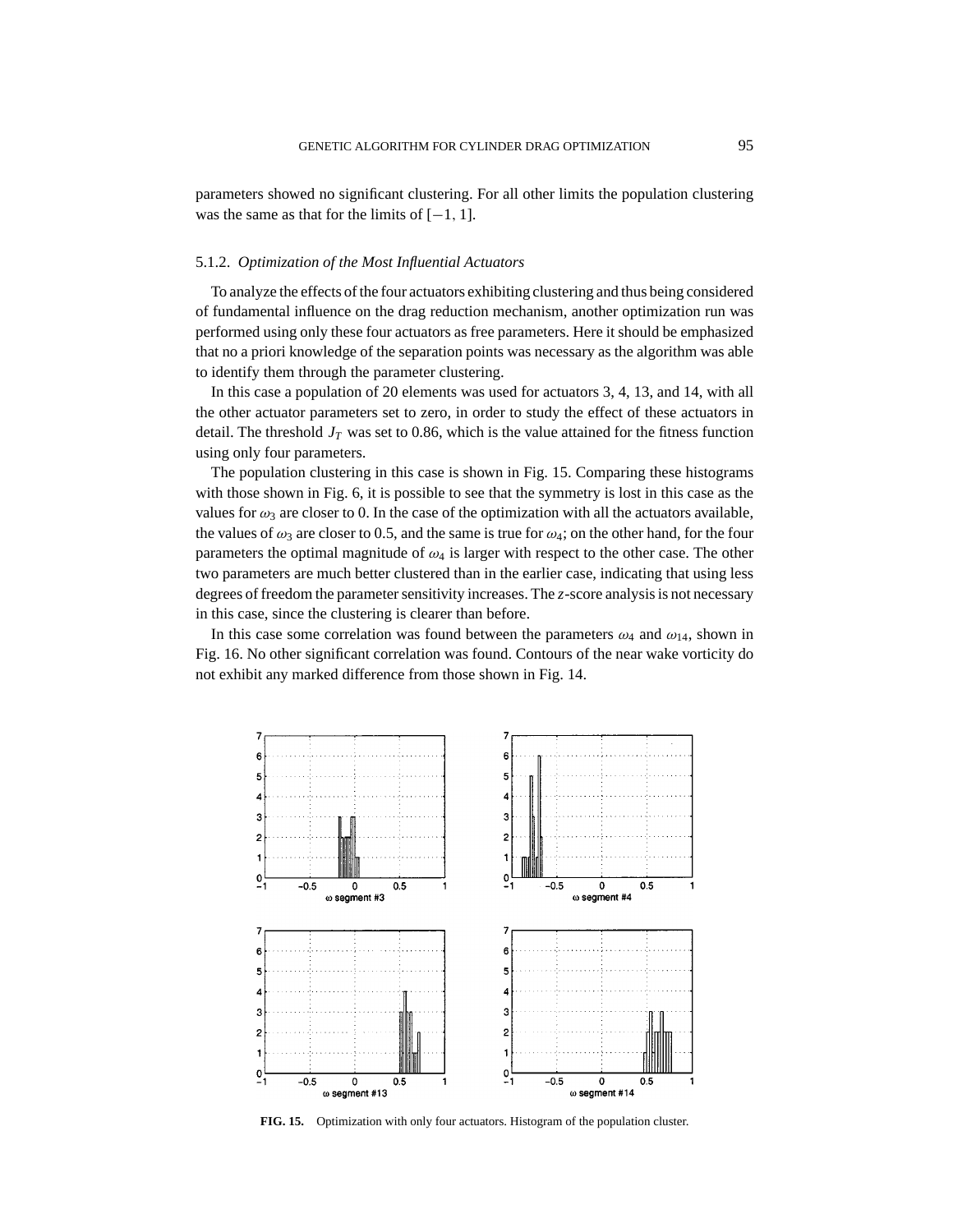parameters showed no significant clustering. For all other limits the population clustering was the same as that for the limits of  $[-1, 1]$ .

## 5.1.2. *Optimization of the Most Influential Actuators*

To analyze the effects of the four actuators exhibiting clustering and thus being considered of fundamental influence on the drag reduction mechanism, another optimization run was performed using only these four actuators as free parameters. Here it should be emphasized that no a priori knowledge of the separation points was necessary as the algorithm was able to identify them through the parameter clustering.

In this case a population of 20 elements was used for actuators 3, 4, 13, and 14, with all the other actuator parameters set to zero, in order to study the effect of these actuators in detail. The threshold  $J_T$  was set to 0.86, which is the value attained for the fitness function using only four parameters.

The population clustering in this case is shown in Fig. 15. Comparing these histograms with those shown in Fig. 6, it is possible to see that the symmetry is lost in this case as the values for  $\omega_3$  are closer to 0. In the case of the optimization with all the actuators available, the values of  $\omega_3$  are closer to 0.5, and the same is true for  $\omega_4$ ; on the other hand, for the four parameters the optimal magnitude of  $\omega_4$  is larger with respect to the other case. The other two parameters are much better clustered than in the earlier case, indicating that using less degrees of freedom the parameter sensitivity increases. The *z*-score analysis is not necessary in this case, since the clustering is clearer than before.

In this case some correlation was found between the parameters  $\omega_4$  and  $\omega_{14}$ , shown in Fig. 16. No other significant correlation was found. Contours of the near wake vorticity do not exhibit any marked difference from those shown in Fig. 14.



**FIG. 15.** Optimization with only four actuators. Histogram of the population cluster.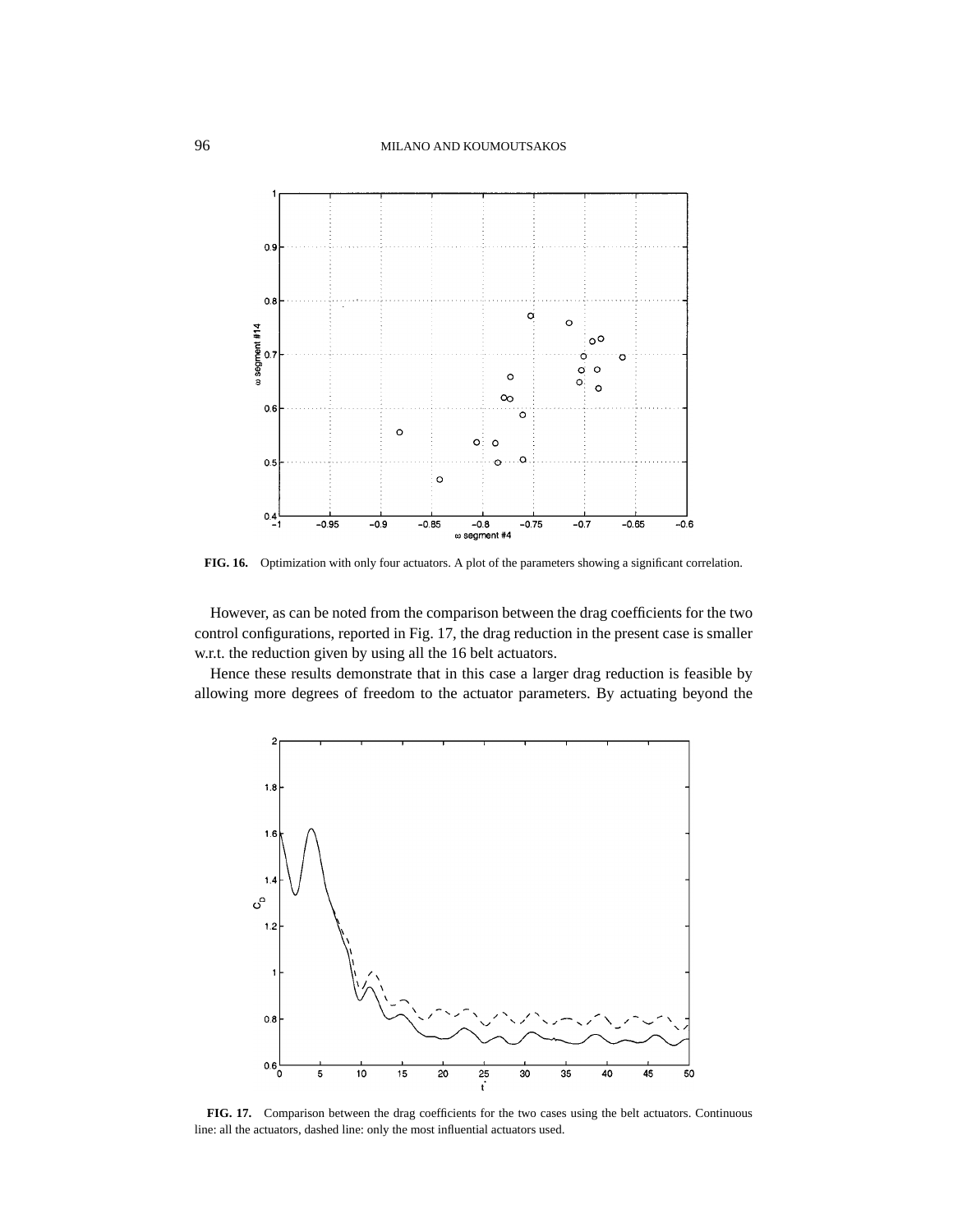

**FIG. 16.** Optimization with only four actuators. A plot of the parameters showing a significant correlation.

However, as can be noted from the comparison between the drag coefficients for the two control configurations, reported in Fig. 17, the drag reduction in the present case is smaller w.r.t. the reduction given by using all the 16 belt actuators.

Hence these results demonstrate that in this case a larger drag reduction is feasible by allowing more degrees of freedom to the actuator parameters. By actuating beyond the



**FIG. 17.** Comparison between the drag coefficients for the two cases using the belt actuators. Continuous line: all the actuators, dashed line: only the most influential actuators used.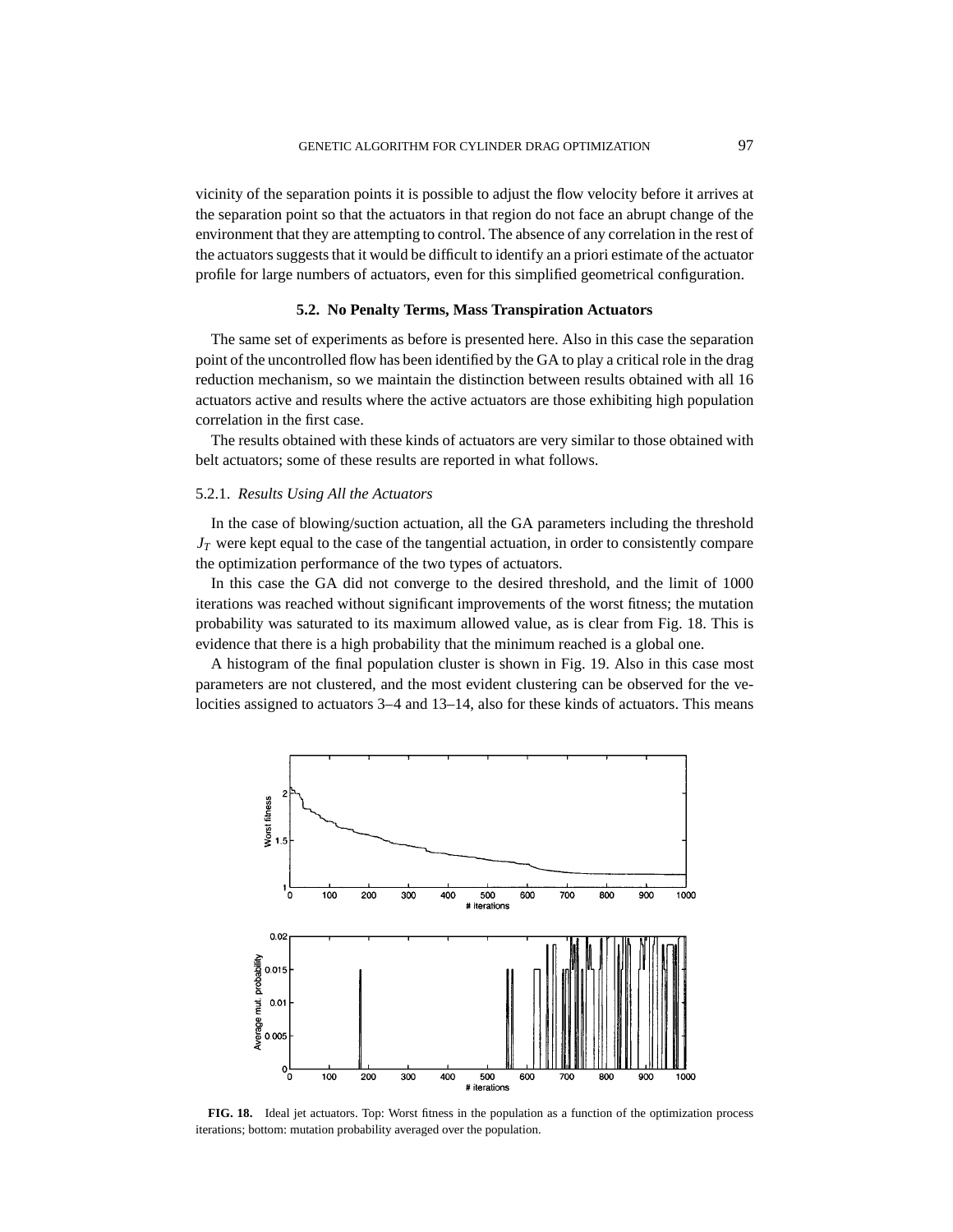vicinity of the separation points it is possible to adjust the flow velocity before it arrives at the separation point so that the actuators in that region do not face an abrupt change of the environment that they are attempting to control. The absence of any correlation in the rest of the actuators suggests that it would be difficult to identify an a priori estimate of the actuator profile for large numbers of actuators, even for this simplified geometrical configuration.

## **5.2. No Penalty Terms, Mass Transpiration Actuators**

The same set of experiments as before is presented here. Also in this case the separation point of the uncontrolled flow has been identified by the GA to play a critical role in the drag reduction mechanism, so we maintain the distinction between results obtained with all 16 actuators active and results where the active actuators are those exhibiting high population correlation in the first case.

The results obtained with these kinds of actuators are very similar to those obtained with belt actuators; some of these results are reported in what follows.

## 5.2.1. *Results Using All the Actuators*

In the case of blowing/suction actuation, all the GA parameters including the threshold  $J_T$  were kept equal to the case of the tangential actuation, in order to consistently compare the optimization performance of the two types of actuators.

In this case the GA did not converge to the desired threshold, and the limit of 1000 iterations was reached without significant improvements of the worst fitness; the mutation probability was saturated to its maximum allowed value, as is clear from Fig. 18. This is evidence that there is a high probability that the minimum reached is a global one.

A histogram of the final population cluster is shown in Fig. 19. Also in this case most parameters are not clustered, and the most evident clustering can be observed for the velocities assigned to actuators 3–4 and 13–14, also for these kinds of actuators. This means



**FIG. 18.** Ideal jet actuators. Top: Worst fitness in the population as a function of the optimization process iterations; bottom: mutation probability averaged over the population.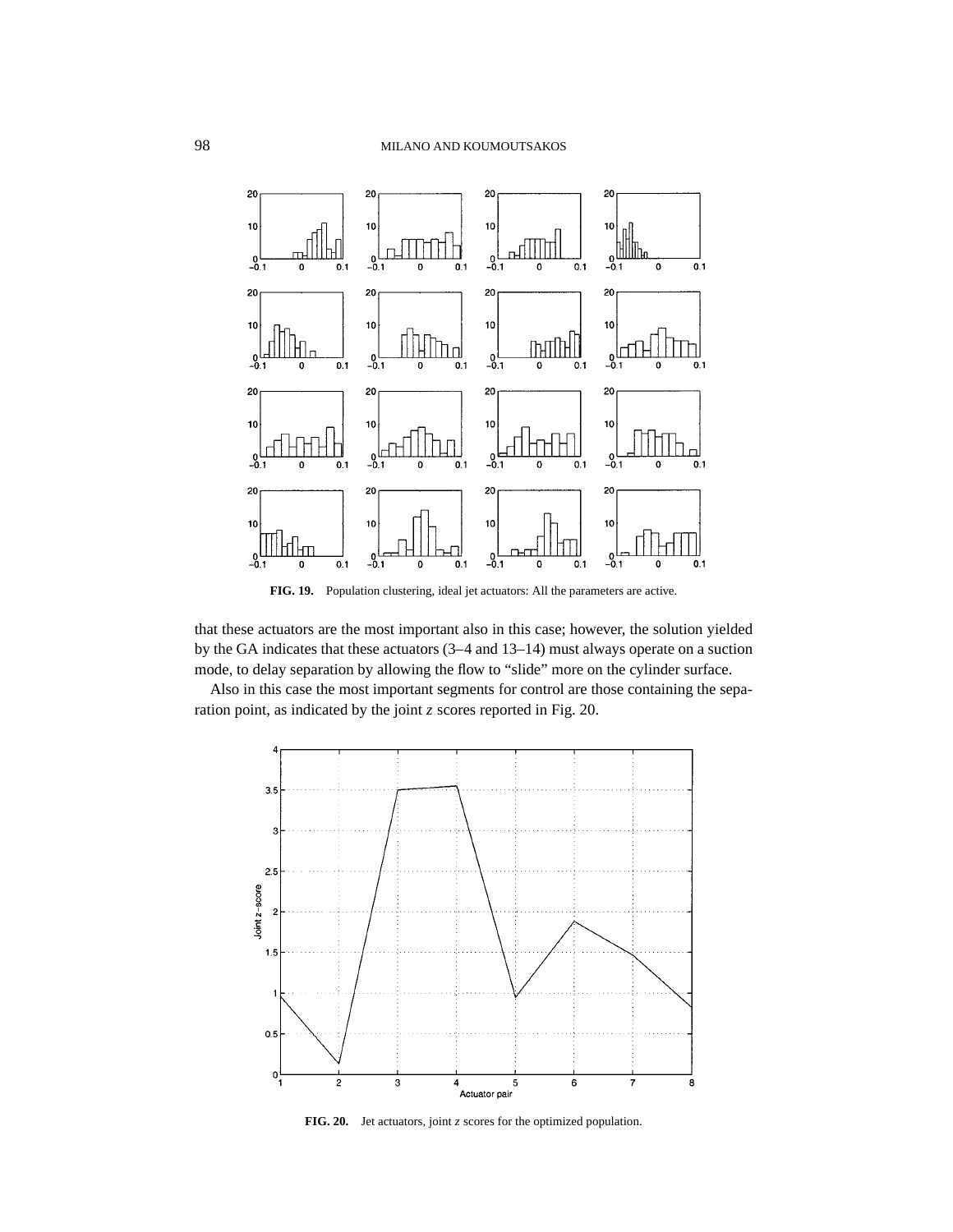

**FIG. 19.** Population clustering, ideal jet actuators: All the parameters are active.

that these actuators are the most important also in this case; however, the solution yielded by the GA indicates that these actuators (3–4 and 13–14) must always operate on a suction mode, to delay separation by allowing the flow to "slide" more on the cylinder surface.

Also in this case the most important segments for control are those containing the separation point, as indicated by the joint *z* scores reported in Fig. 20.



**FIG. 20.** Jet actuators, joint *z* scores for the optimized population.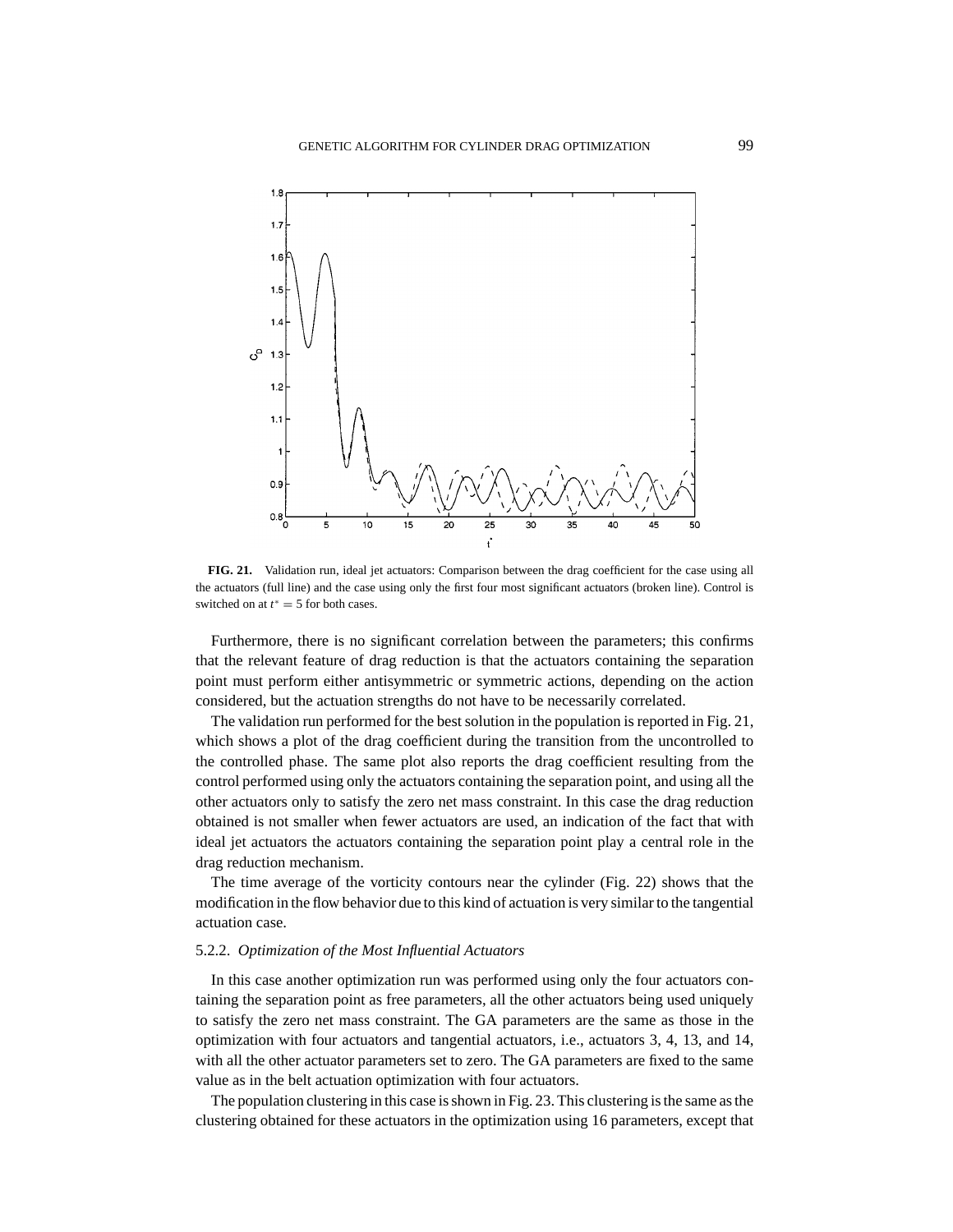

**FIG. 21.** Validation run, ideal jet actuators: Comparison between the drag coefficient for the case using all the actuators (full line) and the case using only the first four most significant actuators (broken line). Control is switched on at  $t^* = 5$  for both cases.

Furthermore, there is no significant correlation between the parameters; this confirms that the relevant feature of drag reduction is that the actuators containing the separation point must perform either antisymmetric or symmetric actions, depending on the action considered, but the actuation strengths do not have to be necessarily correlated.

The validation run performed for the best solution in the population is reported in Fig. 21, which shows a plot of the drag coefficient during the transition from the uncontrolled to the controlled phase. The same plot also reports the drag coefficient resulting from the control performed using only the actuators containing the separation point, and using all the other actuators only to satisfy the zero net mass constraint. In this case the drag reduction obtained is not smaller when fewer actuators are used, an indication of the fact that with ideal jet actuators the actuators containing the separation point play a central role in the drag reduction mechanism.

The time average of the vorticity contours near the cylinder (Fig. 22) shows that the modification in the flow behavior due to this kind of actuation is very similar to the tangential actuation case.

#### 5.2.2. *Optimization of the Most Influential Actuators*

In this case another optimization run was performed using only the four actuators containing the separation point as free parameters, all the other actuators being used uniquely to satisfy the zero net mass constraint. The GA parameters are the same as those in the optimization with four actuators and tangential actuators, i.e., actuators 3, 4, 13, and 14, with all the other actuator parameters set to zero. The GA parameters are fixed to the same value as in the belt actuation optimization with four actuators.

The population clustering in this case is shown in Fig. 23. This clustering is the same as the clustering obtained for these actuators in the optimization using 16 parameters, except that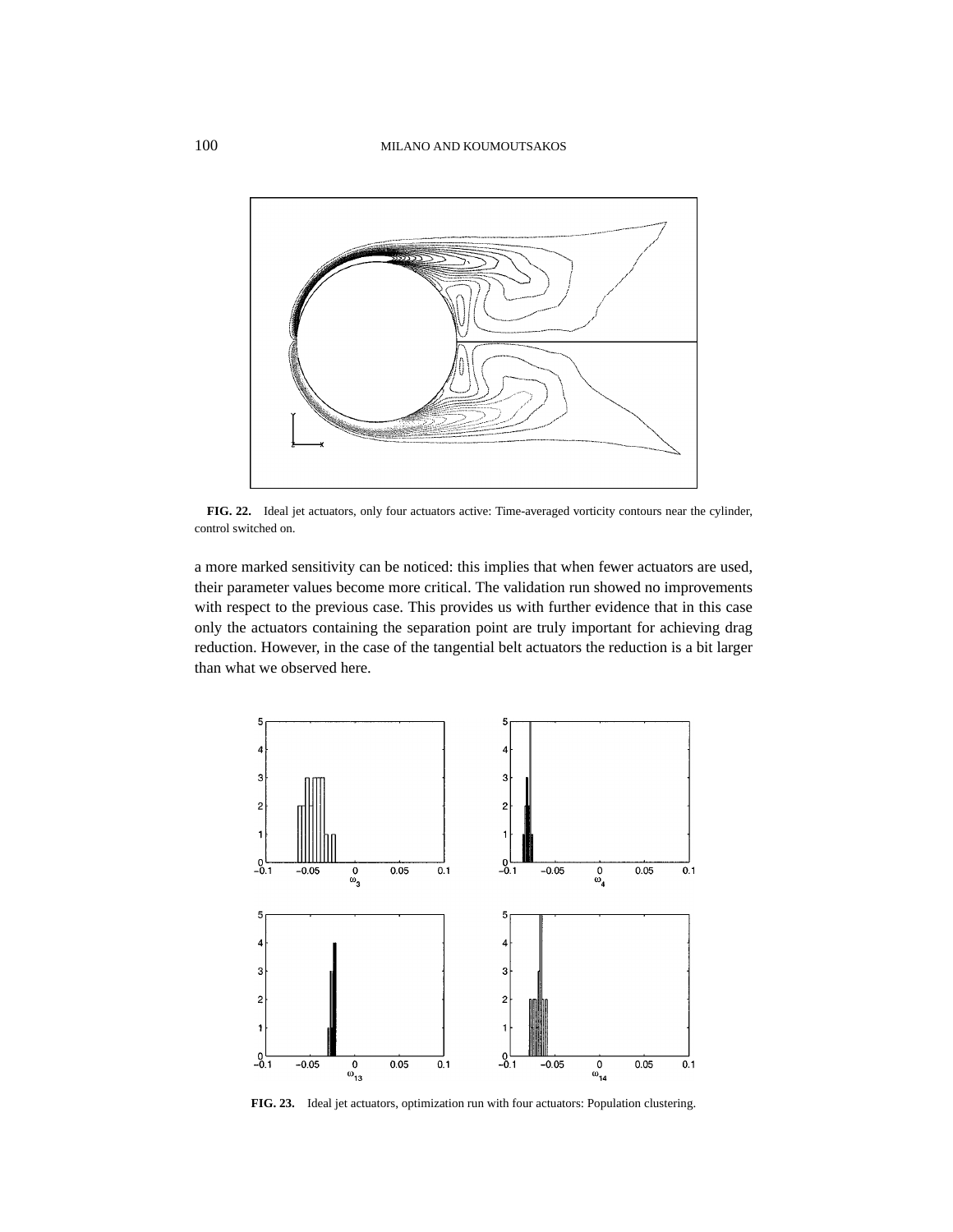

**FIG. 22.** Ideal jet actuators, only four actuators active: Time-averaged vorticity contours near the cylinder, control switched on.

a more marked sensitivity can be noticed: this implies that when fewer actuators are used, their parameter values become more critical. The validation run showed no improvements with respect to the previous case. This provides us with further evidence that in this case only the actuators containing the separation point are truly important for achieving drag reduction. However, in the case of the tangential belt actuators the reduction is a bit larger than what we observed here.



**FIG. 23.** Ideal jet actuators, optimization run with four actuators: Population clustering.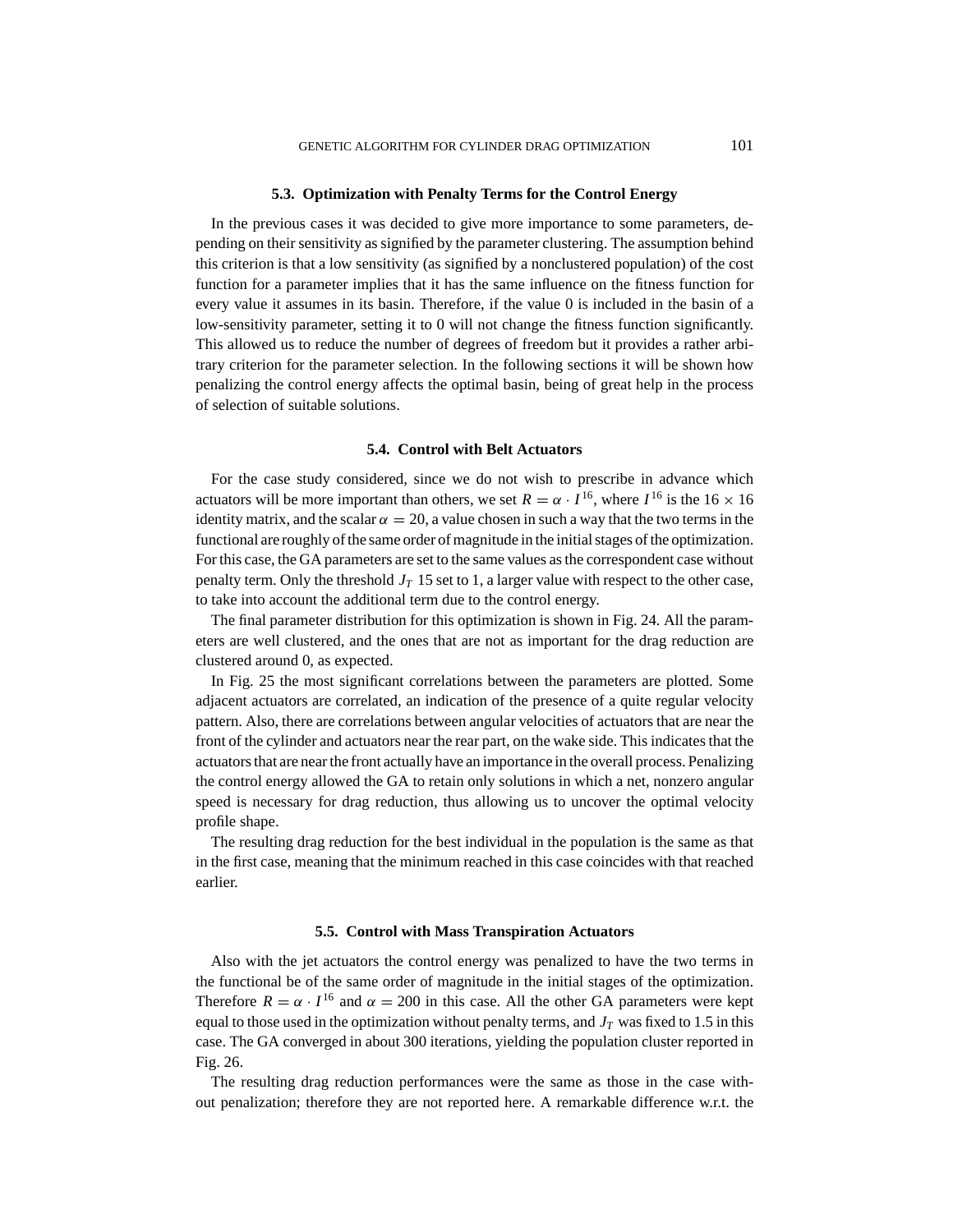### **5.3. Optimization with Penalty Terms for the Control Energy**

In the previous cases it was decided to give more importance to some parameters, depending on their sensitivity as signified by the parameter clustering. The assumption behind this criterion is that a low sensitivity (as signified by a nonclustered population) of the cost function for a parameter implies that it has the same influence on the fitness function for every value it assumes in its basin. Therefore, if the value 0 is included in the basin of a low-sensitivity parameter, setting it to 0 will not change the fitness function significantly. This allowed us to reduce the number of degrees of freedom but it provides a rather arbitrary criterion for the parameter selection. In the following sections it will be shown how penalizing the control energy affects the optimal basin, being of great help in the process of selection of suitable solutions.

#### **5.4. Control with Belt Actuators**

For the case study considered, since we do not wish to prescribe in advance which actuators will be more important than others, we set  $R = \alpha \cdot I^{16}$ , where  $I^{16}$  is the 16  $\times$  16 identity matrix, and the scalar  $\alpha = 20$ , a value chosen in such a way that the two terms in the functional are roughly of the same order of magnitude in the initial stages of the optimization. For this case, the GA parameters are set to the same values as the correspondent case without penalty term. Only the threshold  $J_T$  15 set to 1, a larger value with respect to the other case, to take into account the additional term due to the control energy.

The final parameter distribution for this optimization is shown in Fig. 24. All the parameters are well clustered, and the ones that are not as important for the drag reduction are clustered around 0, as expected.

In Fig. 25 the most significant correlations between the parameters are plotted. Some adjacent actuators are correlated, an indication of the presence of a quite regular velocity pattern. Also, there are correlations between angular velocities of actuators that are near the front of the cylinder and actuators near the rear part, on the wake side. This indicates that the actuators that are near the front actually have an importance in the overall process. Penalizing the control energy allowed the GA to retain only solutions in which a net, nonzero angular speed is necessary for drag reduction, thus allowing us to uncover the optimal velocity profile shape.

The resulting drag reduction for the best individual in the population is the same as that in the first case, meaning that the minimum reached in this case coincides with that reached earlier.

### **5.5. Control with Mass Transpiration Actuators**

Also with the jet actuators the control energy was penalized to have the two terms in the functional be of the same order of magnitude in the initial stages of the optimization. Therefore  $R = \alpha \cdot I^{16}$  and  $\alpha = 200$  in this case. All the other GA parameters were kept equal to those used in the optimization without penalty terms, and  $J_T$  was fixed to 1.5 in this case. The GA converged in about 300 iterations, yielding the population cluster reported in Fig. 26.

The resulting drag reduction performances were the same as those in the case without penalization; therefore they are not reported here. A remarkable difference w.r.t. the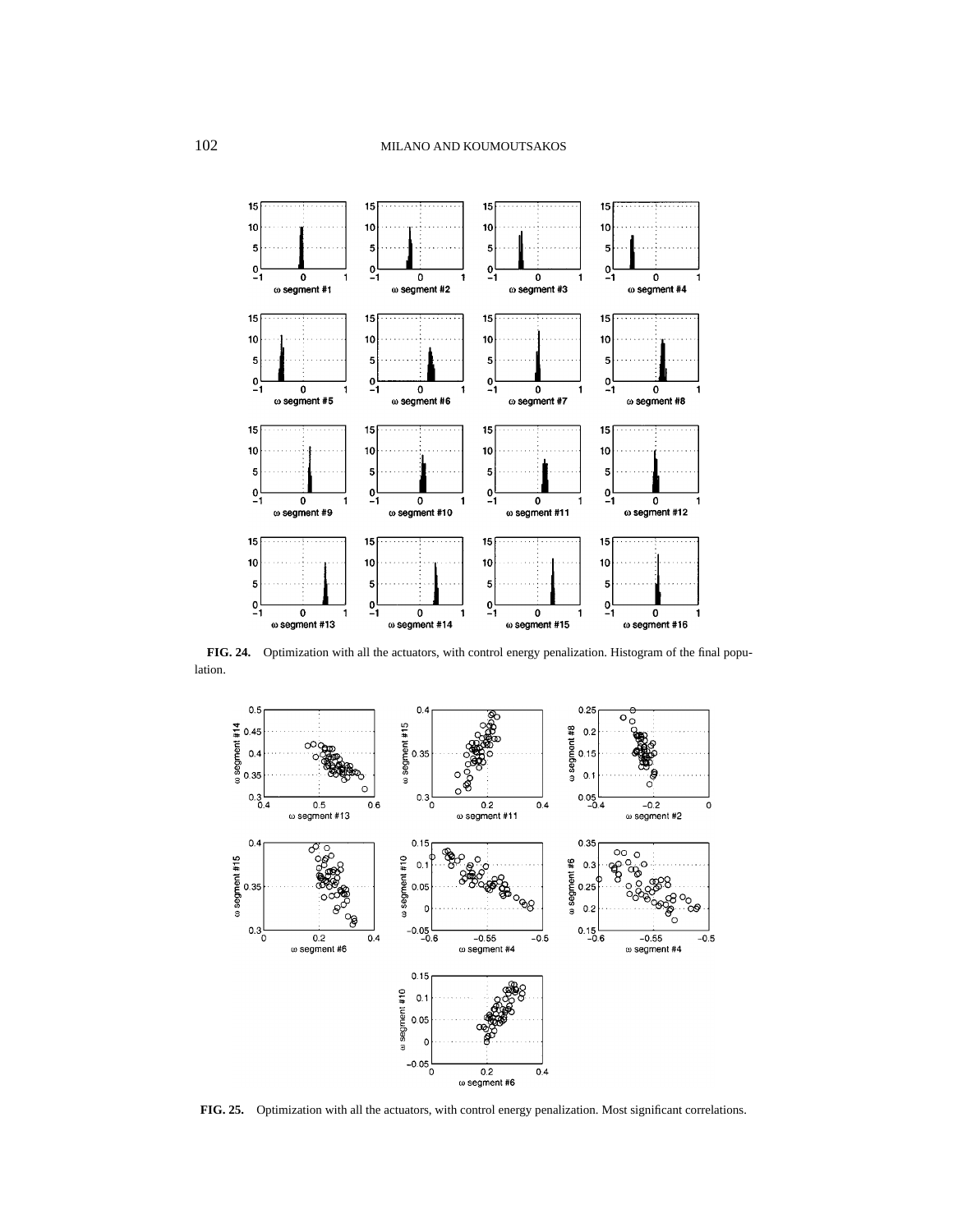

**FIG. 24.** Optimization with all the actuators, with control energy penalization. Histogram of the final population.



**FIG. 25.** Optimization with all the actuators, with control energy penalization. Most significant correlations.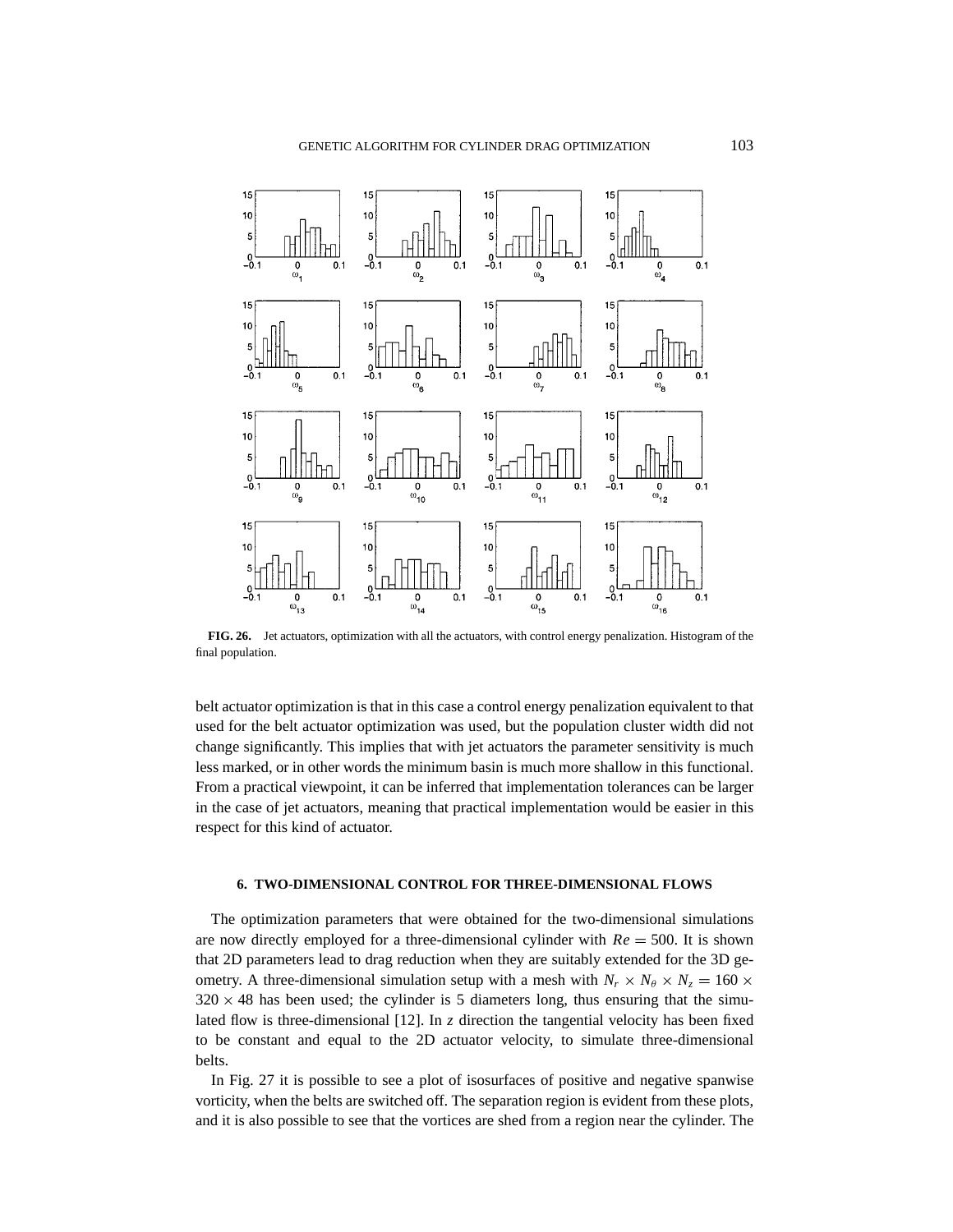

**FIG. 26.** Jet actuators, optimization with all the actuators, with control energy penalization. Histogram of the final population.

belt actuator optimization is that in this case a control energy penalization equivalent to that used for the belt actuator optimization was used, but the population cluster width did not change significantly. This implies that with jet actuators the parameter sensitivity is much less marked, or in other words the minimum basin is much more shallow in this functional. From a practical viewpoint, it can be inferred that implementation tolerances can be larger in the case of jet actuators, meaning that practical implementation would be easier in this respect for this kind of actuator.

## **6. TWO-DIMENSIONAL CONTROL FOR THREE-DIMENSIONAL FLOWS**

The optimization parameters that were obtained for the two-dimensional simulations are now directly employed for a three-dimensional cylinder with  $Re = 500$ . It is shown that 2D parameters lead to drag reduction when they are suitably extended for the 3D geometry. A three-dimensional simulation setup with a mesh with  $N_r \times N_\theta \times N_z = 160 \times$  $320 \times 48$  has been used; the cylinder is 5 diameters long, thus ensuring that the simulated flow is three-dimensional [12]. In *z* direction the tangential velocity has been fixed to be constant and equal to the 2D actuator velocity, to simulate three-dimensional belts.

In Fig. 27 it is possible to see a plot of isosurfaces of positive and negative spanwise vorticity, when the belts are switched off. The separation region is evident from these plots, and it is also possible to see that the vortices are shed from a region near the cylinder. The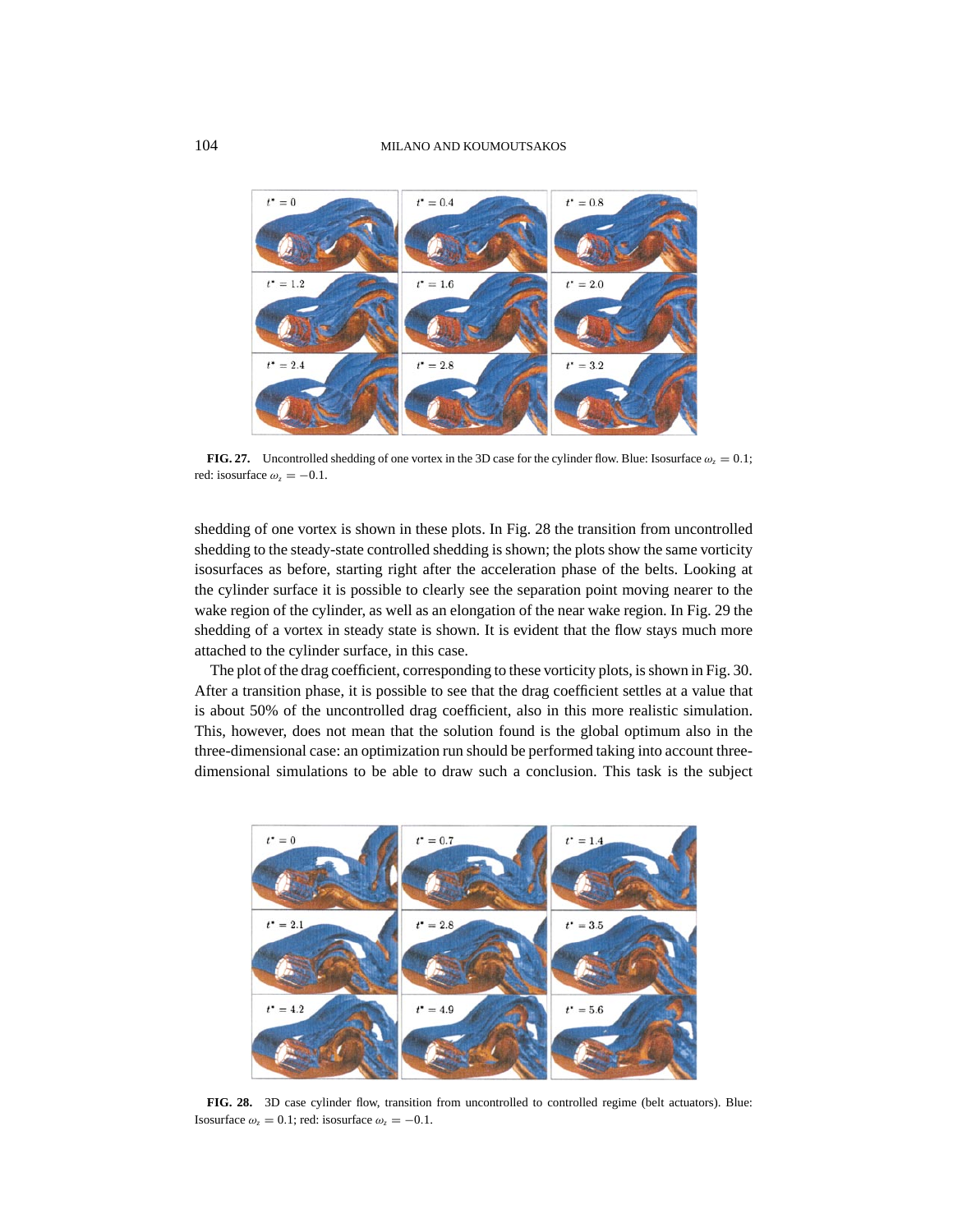

**FIG. 27.** Uncontrolled shedding of one vortex in the 3D case for the cylinder flow. Blue: Isosurface  $\omega_z = 0.1$ ; red: isosurface  $\omega_z = -0.1$ .

shedding of one vortex is shown in these plots. In Fig. 28 the transition from uncontrolled shedding to the steady-state controlled shedding is shown; the plots show the same vorticity isosurfaces as before, starting right after the acceleration phase of the belts. Looking at the cylinder surface it is possible to clearly see the separation point moving nearer to the wake region of the cylinder, as well as an elongation of the near wake region. In Fig. 29 the shedding of a vortex in steady state is shown. It is evident that the flow stays much more attached to the cylinder surface, in this case.

The plot of the drag coefficient, corresponding to these vorticity plots, is shown in Fig. 30. After a transition phase, it is possible to see that the drag coefficient settles at a value that is about 50% of the uncontrolled drag coefficient, also in this more realistic simulation. This, however, does not mean that the solution found is the global optimum also in the three-dimensional case: an optimization run should be performed taking into account threedimensional simulations to be able to draw such a conclusion. This task is the subject



**FIG. 28.** 3D case cylinder flow, transition from uncontrolled to controlled regime (belt actuators). Blue: Isosurface  $\omega_z = 0.1$ ; red: isosurface  $\omega_z = -0.1$ .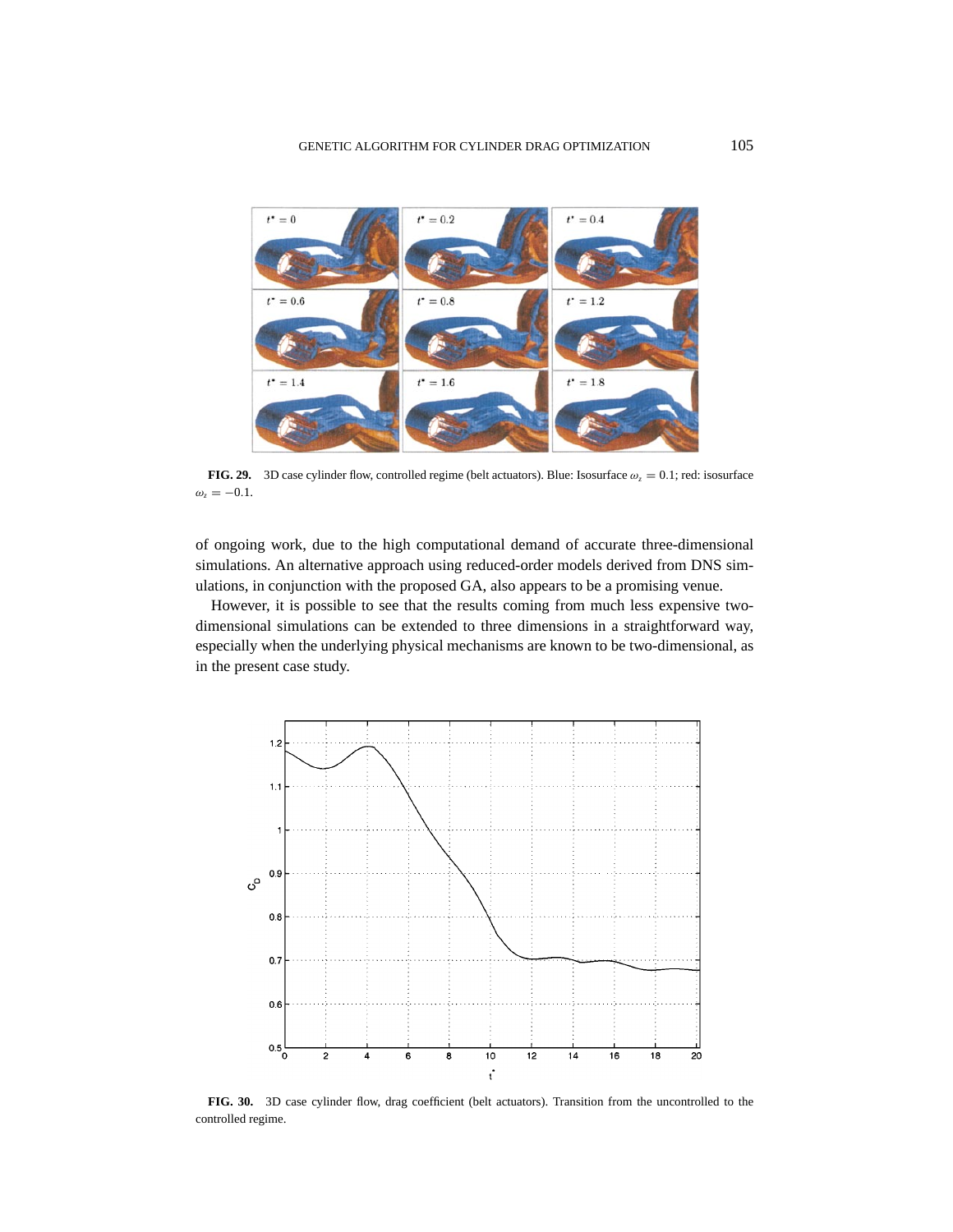

**FIG. 29.** 3D case cylinder flow, controlled regime (belt actuators). Blue: Isosurface  $\omega_z = 0.1$ ; red: isosurface  $\omega_z = -0.1$ .

of ongoing work, due to the high computational demand of accurate three-dimensional simulations. An alternative approach using reduced-order models derived from DNS simulations, in conjunction with the proposed GA, also appears to be a promising venue.

However, it is possible to see that the results coming from much less expensive twodimensional simulations can be extended to three dimensions in a straightforward way, especially when the underlying physical mechanisms are known to be two-dimensional, as in the present case study.



**FIG. 30.** 3D case cylinder flow, drag coefficient (belt actuators). Transition from the uncontrolled to the controlled regime.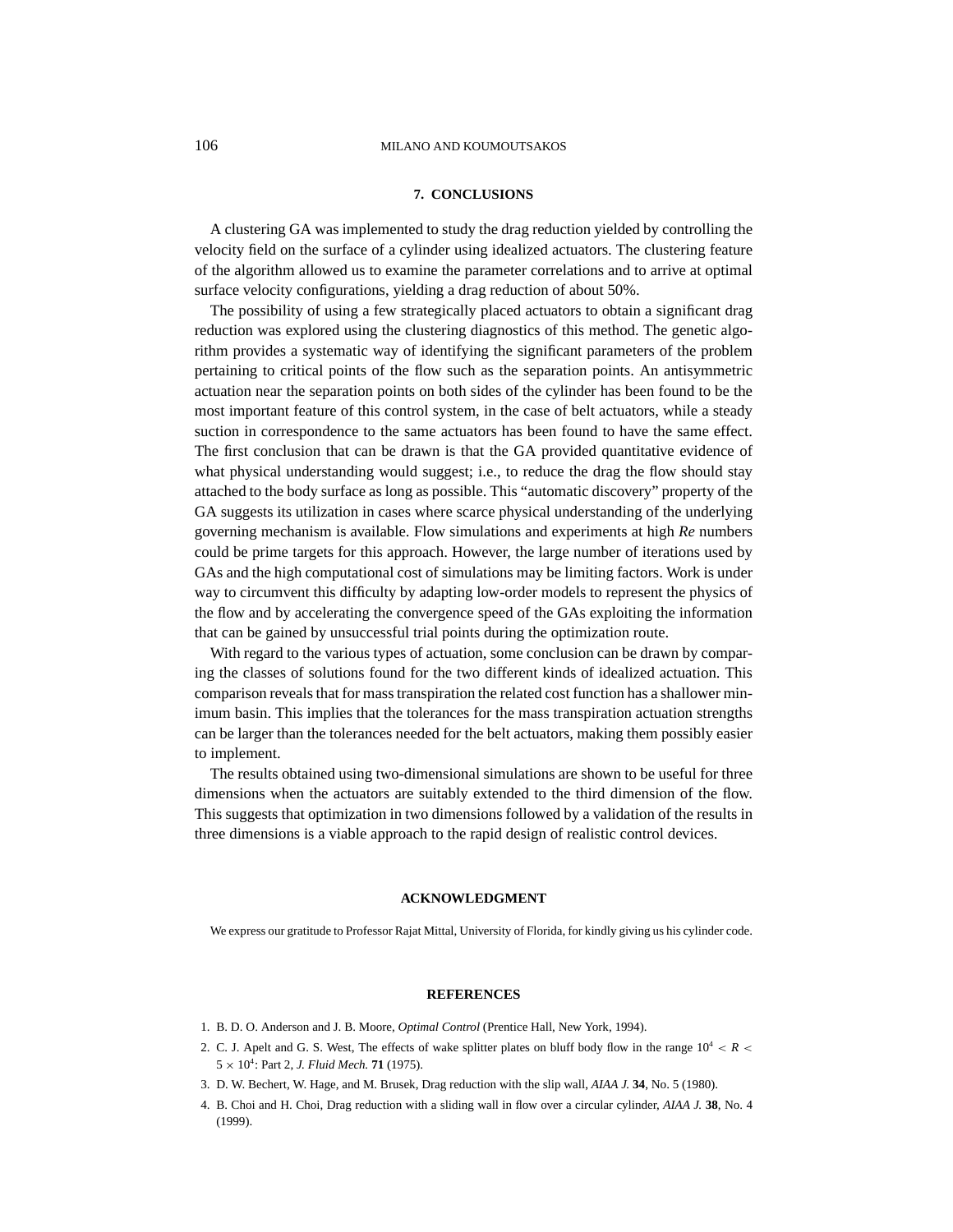## **7. CONCLUSIONS**

A clustering GA was implemented to study the drag reduction yielded by controlling the velocity field on the surface of a cylinder using idealized actuators. The clustering feature of the algorithm allowed us to examine the parameter correlations and to arrive at optimal surface velocity configurations, yielding a drag reduction of about 50%.

The possibility of using a few strategically placed actuators to obtain a significant drag reduction was explored using the clustering diagnostics of this method. The genetic algorithm provides a systematic way of identifying the significant parameters of the problem pertaining to critical points of the flow such as the separation points. An antisymmetric actuation near the separation points on both sides of the cylinder has been found to be the most important feature of this control system, in the case of belt actuators, while a steady suction in correspondence to the same actuators has been found to have the same effect. The first conclusion that can be drawn is that the GA provided quantitative evidence of what physical understanding would suggest; i.e., to reduce the drag the flow should stay attached to the body surface as long as possible. This "automatic discovery" property of the GA suggests its utilization in cases where scarce physical understanding of the underlying governing mechanism is available. Flow simulations and experiments at high *Re* numbers could be prime targets for this approach. However, the large number of iterations used by GAs and the high computational cost of simulations may be limiting factors. Work is under way to circumvent this difficulty by adapting low-order models to represent the physics of the flow and by accelerating the convergence speed of the GAs exploiting the information that can be gained by unsuccessful trial points during the optimization route.

With regard to the various types of actuation, some conclusion can be drawn by comparing the classes of solutions found for the two different kinds of idealized actuation. This comparison reveals that for mass transpiration the related cost function has a shallower minimum basin. This implies that the tolerances for the mass transpiration actuation strengths can be larger than the tolerances needed for the belt actuators, making them possibly easier to implement.

The results obtained using two-dimensional simulations are shown to be useful for three dimensions when the actuators are suitably extended to the third dimension of the flow. This suggests that optimization in two dimensions followed by a validation of the results in three dimensions is a viable approach to the rapid design of realistic control devices.

#### **ACKNOWLEDGMENT**

We express our gratitude to Professor Rajat Mittal, University of Florida, for kindly giving us his cylinder code.

#### **REFERENCES**

- 1. B. D. O. Anderson and J. B. Moore, *Optimal Control* (Prentice Hall, New York, 1994).
- 2. C. J. Apelt and G. S. West, The effects of wake splitter plates on bluff body flow in the range  $10^4 < R <$  $5 \times 10^4$ : Part 2, *J. Fluid Mech.* **71** (1975).
- 3. D. W. Bechert, W. Hage, and M. Brusek, Drag reduction with the slip wall, *AIAA J.* **34**, No. 5 (1980).
- 4. B. Choi and H. Choi, Drag reduction with a sliding wall in flow over a circular cylinder, *AIAA J.* **38**, No. 4 (1999).